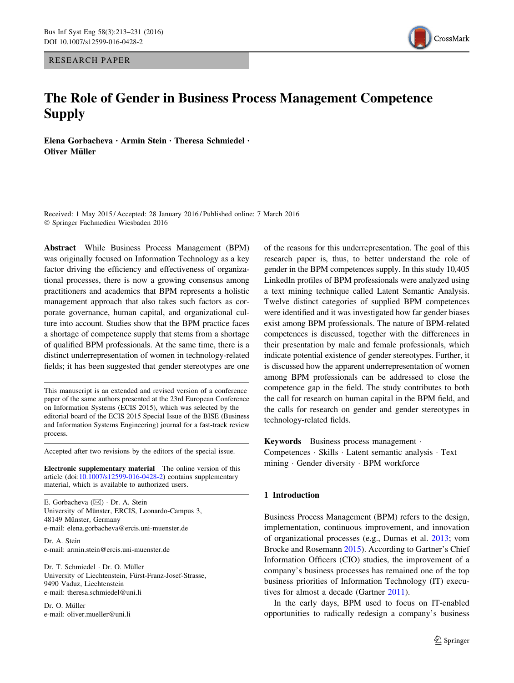RESEARCH PAPER

# CrossMark

# The Role of Gender in Business Process Management Competence Supply

Elena Gorbacheva • Armin Stein • Theresa Schmiedel • Oliver Müller

Received: 1 May 2015 / Accepted: 28 January 2016 / Published online: 7 March 2016 - Springer Fachmedien Wiesbaden 2016

Abstract While Business Process Management (BPM) was originally focused on Information Technology as a key factor driving the efficiency and effectiveness of organizational processes, there is now a growing consensus among practitioners and academics that BPM represents a holistic management approach that also takes such factors as corporate governance, human capital, and organizational culture into account. Studies show that the BPM practice faces a shortage of competence supply that stems from a shortage of qualified BPM professionals. At the same time, there is a distinct underrepresentation of women in technology-related fields; it has been suggested that gender stereotypes are one

This manuscript is an extended and revised version of a conference paper of the same authors presented at the 23rd European Conference on Information Systems (ECIS 2015), which was selected by the editorial board of the ECIS 2015 Special Issue of the BISE (Business and Information Systems Engineering) journal for a fast-track review process.

Accepted after two revisions by the editors of the special issue.

Electronic supplementary material The online version of this article (doi:[10.1007/s12599-016-0428-2\)](http://dx.doi.org/10.1007/s12599-016-0428-2) contains supplementary material, which is available to authorized users.

E. Gorbacheva (&) - Dr. A. Stein University of Münster, ERCIS, Leonardo-Campus 3, 48149 Münster, Germany e-mail: elena.gorbacheva@ercis.uni-muenster.de

Dr. A. Stein e-mail: armin.stein@ercis.uni-muenster.de

Dr. T. Schmiedel · Dr. O. Müller University of Liechtenstein, Fürst-Franz-Josef-Strasse, 9490 Vaduz, Liechtenstein e-mail: theresa.schmiedel@uni.li

Dr. O. Müller e-mail: oliver.mueller@uni.li of the reasons for this underrepresentation. The goal of this research paper is, thus, to better understand the role of gender in the BPM competences supply. In this study 10,405 LinkedIn profiles of BPM professionals were analyzed using a text mining technique called Latent Semantic Analysis. Twelve distinct categories of supplied BPM competences were identified and it was investigated how far gender biases exist among BPM professionals. The nature of BPM-related competences is discussed, together with the differences in their presentation by male and female professionals, which indicate potential existence of gender stereotypes. Further, it is discussed how the apparent underrepresentation of women among BPM professionals can be addressed to close the competence gap in the field. The study contributes to both the call for research on human capital in the BPM field, and the calls for research on gender and gender stereotypes in technology-related fields.

Keywords Business process management . Competences - Skills - Latent semantic analysis - Text mining - Gender diversity - BPM workforce

# 1 Introduction

Business Process Management (BPM) refers to the design, implementation, continuous improvement, and innovation of organizational processes (e.g., Dumas et al. [2013](#page-16-0); vom Brocke and Rosemann [2015\)](#page-18-0). According to Gartner's Chief Information Officers (CIO) studies, the improvement of a company's business processes has remained one of the top business priorities of Information Technology (IT) executives for almost a decade (Gartner [2011\)](#page-17-0).

In the early days, BPM used to focus on IT-enabled opportunities to radically redesign a company's business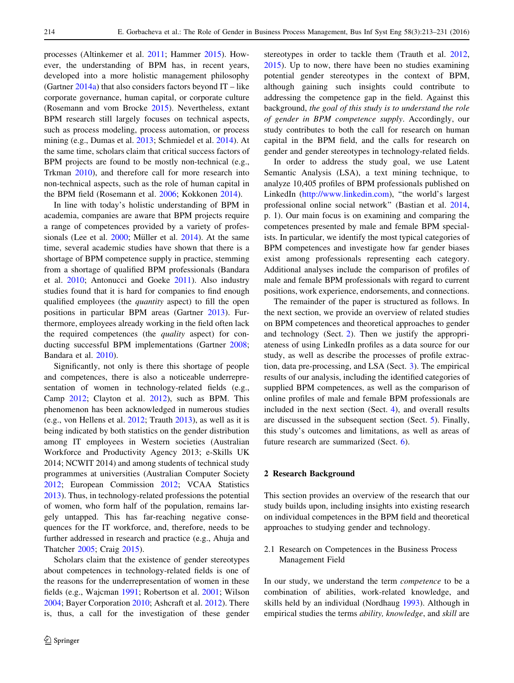<span id="page-1-0"></span>processes (Altinkemer et al. [2011;](#page-16-0) Hammer [2015\)](#page-17-0). However, the understanding of BPM has, in recent years, developed into a more holistic management philosophy (Gartner  $2014a$ ) that also considers factors beyond IT – like corporate governance, human capital, or corporate culture (Rosemann and vom Brocke [2015\)](#page-17-0). Nevertheless, extant BPM research still largely focuses on technical aspects, such as process modeling, process automation, or process mining (e.g., Dumas et al. [2013](#page-16-0); Schmiedel et al. [2014\)](#page-18-0). At the same time, scholars claim that critical success factors of BPM projects are found to be mostly non-technical (e.g., Trkman [2010\)](#page-18-0), and therefore call for more research into non-technical aspects, such as the role of human capital in the BPM field (Rosemann et al. [2006;](#page-18-0) Kokkonen [2014\)](#page-17-0).

In line with today's holistic understanding of BPM in academia, companies are aware that BPM projects require a range of competences provided by a variety of professionals (Lee et al.  $2000$ ; Müller et al.  $2014$ ). At the same time, several academic studies have shown that there is a shortage of BPM competence supply in practice, stemming from a shortage of qualified BPM professionals (Bandara et al. [2010;](#page-16-0) Antonucci and Goeke [2011](#page-16-0)). Also industry studies found that it is hard for companies to find enough qualified employees (the *quantity* aspect) to fill the open positions in particular BPM areas (Gartner [2013\)](#page-17-0). Furthermore, employees already working in the field often lack the required competences (the quality aspect) for conducting successful BPM implementations (Gartner [2008](#page-17-0); Bandara et al. [2010](#page-16-0)).

Significantly, not only is there this shortage of people and competences, there is also a noticeable underrepresentation of women in technology-related fields (e.g., Camp [2012](#page-16-0); Clayton et al. [2012\)](#page-16-0), such as BPM. This phenomenon has been acknowledged in numerous studies (e.g., von Hellens et al. [2012;](#page-18-0) Trauth [2013](#page-18-0)), as well as it is being indicated by both statistics on the gender distribution among IT employees in Western societies (Australian Workforce and Productivity Agency 2013; e-Skills UK 2014; NCWIT 2014) and among students of technical study programmes at universities (Australian Computer Society [2012;](#page-16-0) European Commission [2012](#page-16-0); VCAA Statistics [2013\)](#page-18-0). Thus, in technology-related professions the potential of women, who form half of the population, remains largely untapped. This has far-reaching negative consequences for the IT workforce, and, therefore, needs to be further addressed in research and practice (e.g., Ahuja and Thatcher [2005;](#page-16-0) Craig [2015\)](#page-16-0).

Scholars claim that the existence of gender stereotypes about competences in technology-related fields is one of the reasons for the underrepresentation of women in these fields (e.g., Wajcman [1991;](#page-18-0) Robertson et al. [2001](#page-17-0); Wilson [2004;](#page-18-0) Bayer Corporation [2010](#page-16-0); Ashcraft et al. [2012](#page-16-0)). There is, thus, a call for the investigation of these gender stereotypes in order to tackle them (Trauth et al. [2012,](#page-18-0) [2015](#page-18-0)). Up to now, there have been no studies examining potential gender stereotypes in the context of BPM, although gaining such insights could contribute to addressing the competence gap in the field. Against this background, the goal of this study is to understand the role of gender in BPM competence supply. Accordingly, our study contributes to both the call for research on human capital in the BPM field, and the calls for research on gender and gender stereotypes in technology-related fields.

In order to address the study goal, we use Latent Semantic Analysis (LSA), a text mining technique, to analyze 10,405 profiles of BPM professionals published on LinkedIn [\(http://www.linkedin.com\)](http://www.linkedin.com), ''the world's largest professional online social network'' (Bastian et al. [2014,](#page-16-0) p. 1). Our main focus is on examining and comparing the competences presented by male and female BPM specialists. In particular, we identify the most typical categories of BPM competences and investigate how far gender biases exist among professionals representing each category. Additional analyses include the comparison of profiles of male and female BPM professionals with regard to current positions, work experience, endorsements, and connections.

The remainder of the paper is structured as follows. In the next section, we provide an overview of related studies on BPM competences and theoretical approaches to gender and technology (Sect. 2). Then we justify the appropriateness of using LinkedIn profiles as a data source for our study, as well as describe the processes of profile extraction, data pre-processing, and LSA (Sect. [3\)](#page-4-0). The empirical results of our analysis, including the identified categories of supplied BPM competences, as well as the comparison of online profiles of male and female BPM professionals are included in the next section (Sect. [4\)](#page-7-0), and overall results are discussed in the subsequent section (Sect. [5\)](#page-12-0). Finally, this study's outcomes and limitations, as well as areas of future research are summarized (Sect. [6](#page-14-0)).

#### 2 Research Background

This section provides an overview of the research that our study builds upon, including insights into existing research on individual competences in the BPM field and theoretical approaches to studying gender and technology.

2.1 Research on Competences in the Business Process Management Field

In our study, we understand the term competence to be a combination of abilities, work-related knowledge, and skills held by an individual (Nordhaug [1993\)](#page-17-0). Although in empirical studies the terms ability, knowledge, and skill are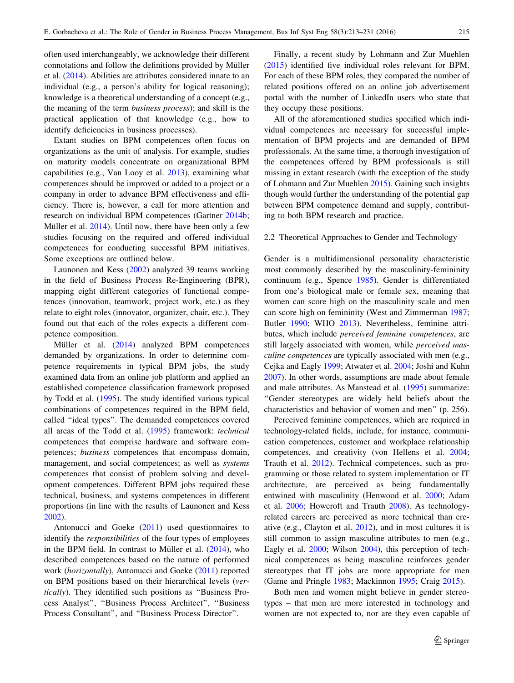often used interchangeably, we acknowledge their different connotations and follow the definitions provided by Müller et al. [\(2014](#page-17-0)). Abilities are attributes considered innate to an individual (e.g., a person's ability for logical reasoning); knowledge is a theoretical understanding of a concept (e.g., the meaning of the term business process); and skill is the practical application of that knowledge (e.g., how to identify deficiencies in business processes).

Extant studies on BPM competences often focus on organizations as the unit of analysis. For example, studies on maturity models concentrate on organizational BPM capabilities (e.g., Van Looy et al. [2013](#page-18-0)), examining what competences should be improved or added to a project or a company in order to advance BPM effectiveness and efficiency. There is, however, a call for more attention and research on individual BPM competences (Gartner [2014b](#page-17-0); Müller et al.  $2014$ ). Until now, there have been only a few studies focusing on the required and offered individual competences for conducting successful BPM initiatives. Some exceptions are outlined below.

Launonen and Kess ([2002\)](#page-17-0) analyzed 39 teams working in the field of Business Process Re-Engineering (BPR), mapping eight different categories of functional competences (innovation, teamwork, project work, etc.) as they relate to eight roles (innovator, organizer, chair, etc.). They found out that each of the roles expects a different competence composition.

Müller et al.  $(2014)$  $(2014)$  analyzed BPM competences demanded by organizations. In order to determine competence requirements in typical BPM jobs, the study examined data from an online job platform and applied an established competence classification framework proposed by Todd et al. [\(1995](#page-18-0)). The study identified various typical combinations of competences required in the BPM field, called ''ideal types''. The demanded competences covered all areas of the Todd et al. ([1995\)](#page-18-0) framework: technical competences that comprise hardware and software competences; business competences that encompass domain, management, and social competences; as well as systems competences that consist of problem solving and development competences. Different BPM jobs required these technical, business, and systems competences in different proportions (in line with the results of Launonen and Kess [2002\)](#page-17-0).

Antonucci and Goeke ([2011\)](#page-16-0) used questionnaires to identify the responsibilities of the four types of employees in the BPM field. In contrast to Müller et al.  $(2014)$  $(2014)$ , who described competences based on the nature of performed work (horizontally), Antonucci and Goeke [\(2011](#page-16-0)) reported on BPM positions based on their hierarchical levels (vertically). They identified such positions as ''Business Process Analyst'', ''Business Process Architect'', ''Business Process Consultant'', and ''Business Process Director''.

Finally, a recent study by Lohmann and Zur Muehlen [\(2015](#page-17-0)) identified five individual roles relevant for BPM. For each of these BPM roles, they compared the number of related positions offered on an online job advertisement portal with the number of LinkedIn users who state that they occupy these positions.

All of the aforementioned studies specified which individual competences are necessary for successful implementation of BPM projects and are demanded of BPM professionals. At the same time, a thorough investigation of the competences offered by BPM professionals is still missing in extant research (with the exception of the study of Lohmann and Zur Muehlen [2015](#page-17-0)). Gaining such insights though would further the understanding of the potential gap between BPM competence demand and supply, contributing to both BPM research and practice.

# 2.2 Theoretical Approaches to Gender and Technology

Gender is a multidimensional personality characteristic most commonly described by the masculinity-femininity continuum (e.g., Spence [1985](#page-18-0)). Gender is differentiated from one's biological male or female sex, meaning that women can score high on the masculinity scale and men can score high on femininity (West and Zimmerman [1987](#page-18-0); Butler [1990](#page-16-0); WHO [2013](#page-18-0)). Nevertheless, feminine attributes, which include perceived feminine competences, are still largely associated with women, while *perceived mas*culine competences are typically associated with men (e.g., Cejka and Eagly [1999;](#page-16-0) Atwater et al. [2004;](#page-16-0) Joshi and Kuhn [2007](#page-17-0)). In other words, assumptions are made about female and male attributes. As Manstead et al. [\(1995](#page-17-0)) summarize: ''Gender stereotypes are widely held beliefs about the characteristics and behavior of women and men'' (p. 256).

Perceived feminine competences, which are required in technology-related fields, include, for instance, communication competences, customer and workplace relationship competences, and creativity (von Hellens et al. [2004](#page-18-0); Trauth et al. [2012\)](#page-18-0). Technical competences, such as programming or those related to system implementation or IT architecture, are perceived as being fundamentally entwined with masculinity (Henwood et al. [2000;](#page-17-0) Adam et al. [2006;](#page-16-0) Howcroft and Trauth [2008](#page-17-0)). As technologyrelated careers are perceived as more technical than creative (e.g., Clayton et al. [2012](#page-16-0)), and in most cultures it is still common to assign masculine attributes to men (e.g., Eagly et al. [2000](#page-16-0); Wilson [2004\)](#page-18-0), this perception of technical competences as being masculine reinforces gender stereotypes that IT jobs are more appropriate for men (Game and Pringle [1983;](#page-17-0) Mackinnon [1995;](#page-17-0) Craig [2015](#page-16-0)).

Both men and women might believe in gender stereotypes – that men are more interested in technology and women are not expected to, nor are they even capable of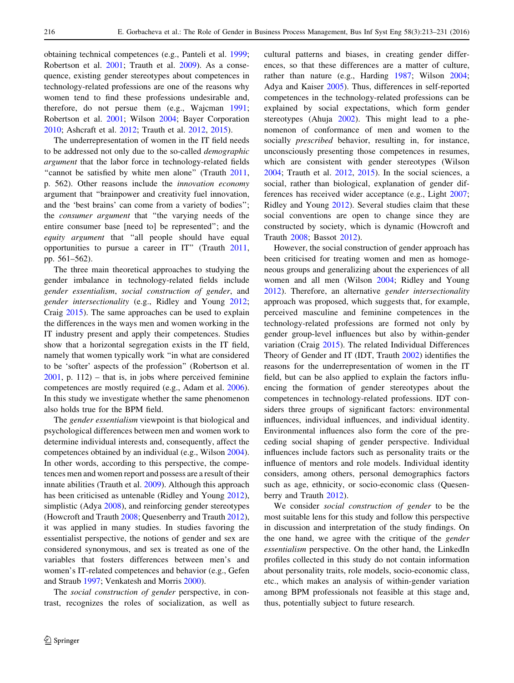obtaining technical competences (e.g., Panteli et al. [1999](#page-17-0); Robertson et al. [2001;](#page-17-0) Trauth et al. [2009\)](#page-18-0). As a consequence, existing gender stereotypes about competences in technology-related professions are one of the reasons why women tend to find these professions undesirable and, therefore, do not persue them (e.g., Wajcman [1991](#page-18-0); Robertson et al. [2001](#page-17-0); Wilson [2004;](#page-18-0) Bayer Corporation [2010;](#page-16-0) Ashcraft et al. [2012;](#page-16-0) Trauth et al. [2012](#page-18-0), [2015](#page-18-0)).

The underrepresentation of women in the IT field needs to be addressed not only due to the so-called demographic argument that the labor force in technology-related fields "cannot be satisfied by white men alone" (Trauth [2011,](#page-18-0) p. 562). Other reasons include the innovation economy argument that ''brainpower and creativity fuel innovation, and the 'best brains' can come from a variety of bodies''; the consumer argument that ''the varying needs of the entire consumer base [need to] be represented''; and the equity argument that "all people should have equal opportunities to pursue a career in IT'' (Trauth [2011,](#page-18-0) pp. 561–562).

The three main theoretical approaches to studying the gender imbalance in technology-related fields include gender essentialism, social construction of gender, and gender intersectionality (e.g., Ridley and Young [2012](#page-17-0); Craig [2015\)](#page-16-0). The same approaches can be used to explain the differences in the ways men and women working in the IT industry present and apply their competences. Studies show that a horizontal segregation exists in the IT field, namely that women typically work ''in what are considered to be 'softer' aspects of the profession'' (Robertson et al.  $2001$ , p. 112) – that is, in jobs where perceived feminine competences are mostly required (e.g., Adam et al. [2006](#page-16-0)). In this study we investigate whether the same phenomenon also holds true for the BPM field.

The *gender essentialism* viewpoint is that biological and psychological differences between men and women work to determine individual interests and, consequently, affect the competences obtained by an individual (e.g., Wilson [2004](#page-18-0)). In other words, according to this perspective, the competences men and women report and possess are a result of their innate abilities (Trauth et al. [2009\)](#page-18-0). Although this approach has been criticised as untenable (Ridley and Young [2012](#page-17-0)), simplistic (Adya [2008\)](#page-16-0), and reinforcing gender stereotypes (Howcroft and Trauth [2008;](#page-17-0) Quesenberry and Trauth [2012](#page-17-0)), it was applied in many studies. In studies favoring the essentialist perspective, the notions of gender and sex are considered synonymous, and sex is treated as one of the variables that fosters differences between men's and women's IT-related competences and behavior (e.g., Gefen and Straub [1997;](#page-17-0) Venkatesh and Morris [2000](#page-18-0)).

The social construction of gender perspective, in contrast, recognizes the roles of socialization, as well as cultural patterns and biases, in creating gender differences, so that these differences are a matter of culture, rather than nature (e.g., Harding [1987;](#page-17-0) Wilson [2004](#page-18-0); Adya and Kaiser [2005\)](#page-16-0). Thus, differences in self-reported competences in the technology-related professions can be explained by social expectations, which form gender stereotypes (Ahuja [2002\)](#page-16-0). This might lead to a phenomenon of conformance of men and women to the socially *prescribed* behavior, resulting in, for instance, unconsciously presenting those competences in resumes, which are consistent with gender stereotypes (Wilson [2004](#page-18-0); Trauth et al. [2012](#page-18-0), [2015\)](#page-18-0). In the social sciences, a social, rather than biological, explanation of gender differences has received wider acceptance (e.g., Light [2007](#page-17-0); Ridley and Young [2012](#page-17-0)). Several studies claim that these social conventions are open to change since they are constructed by society, which is dynamic (Howcroft and Trauth [2008;](#page-17-0) Bassot [2012](#page-16-0)).

However, the social construction of gender approach has been criticised for treating women and men as homogeneous groups and generalizing about the experiences of all women and all men (Wilson [2004;](#page-18-0) Ridley and Young [2012](#page-17-0)). Therefore, an alternative gender intersectionality approach was proposed, which suggests that, for example, perceived masculine and feminine competences in the technology-related professions are formed not only by gender group-level influences but also by within-gender variation (Craig [2015](#page-16-0)). The related Individual Differences Theory of Gender and IT (IDT, Trauth [2002](#page-18-0)) identifies the reasons for the underrepresentation of women in the IT field, but can be also applied to explain the factors influencing the formation of gender stereotypes about the competences in technology-related professions. IDT considers three groups of significant factors: environmental influences, individual influences, and individual identity. Environmental influences also form the core of the preceding social shaping of gender perspective. Individual influences include factors such as personality traits or the influence of mentors and role models. Individual identity considers, among others, personal demographics factors such as age, ethnicity, or socio-economic class (Quesenberry and Trauth [2012](#page-17-0)).

We consider *social construction of gender* to be the most suitable lens for this study and follow this perspective in discussion and interpretation of the study findings. On the one hand, we agree with the critique of the gender essentialism perspective. On the other hand, the LinkedIn profiles collected in this study do not contain information about personality traits, role models, socio-economic class, etc., which makes an analysis of within-gender variation among BPM professionals not feasible at this stage and, thus, potentially subject to future research.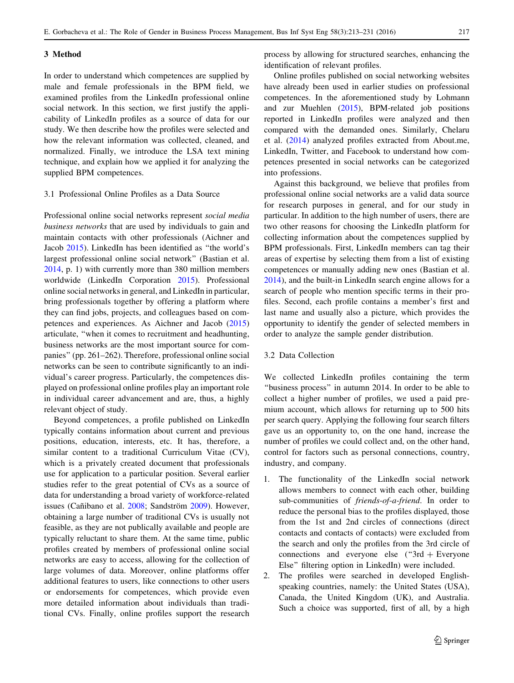#### <span id="page-4-0"></span>3 Method

In order to understand which competences are supplied by male and female professionals in the BPM field, we examined profiles from the LinkedIn professional online social network. In this section, we first justify the applicability of LinkedIn profiles as a source of data for our study. We then describe how the profiles were selected and how the relevant information was collected, cleaned, and normalized. Finally, we introduce the LSA text mining technique, and explain how we applied it for analyzing the supplied BPM competences.

# 3.1 Professional Online Profiles as a Data Source

Professional online social networks represent social media business networks that are used by individuals to gain and maintain contacts with other professionals (Aichner and Jacob [2015](#page-16-0)). LinkedIn has been identified as ''the world's largest professional online social network'' (Bastian et al. [2014,](#page-16-0) p. 1) with currently more than 380 million members worldwide (LinkedIn Corporation [2015\)](#page-17-0). Professional online social networks in general, and LinkedIn in particular, bring professionals together by offering a platform where they can find jobs, projects, and colleagues based on competences and experiences. As Aichner and Jacob ([2015\)](#page-16-0) articulate, ''when it comes to recruitment and headhunting, business networks are the most important source for companies'' (pp. 261–262). Therefore, professional online social networks can be seen to contribute significantly to an individual's career progress. Particularly, the competences displayed on professional online profiles play an important role in individual career advancement and are, thus, a highly relevant object of study.

Beyond competences, a profile published on LinkedIn typically contains information about current and previous positions, education, interests, etc. It has, therefore, a similar content to a traditional Curriculum Vitae (CV), which is a privately created document that professionals use for application to a particular position. Several earlier studies refer to the great potential of CVs as a source of data for understanding a broad variety of workforce-related issues (Cañibano et al. [2008;](#page-16-0) Sandström [2009\)](#page-18-0). However, obtaining a large number of traditional CVs is usually not feasible, as they are not publically available and people are typically reluctant to share them. At the same time, public profiles created by members of professional online social networks are easy to access, allowing for the collection of large volumes of data. Moreover, online platforms offer additional features to users, like connections to other users or endorsements for competences, which provide even more detailed information about individuals than traditional CVs. Finally, online profiles support the research

process by allowing for structured searches, enhancing the identification of relevant profiles.

Online profiles published on social networking websites have already been used in earlier studies on professional competences. In the aforementioned study by Lohmann and zur Muehlen [\(2015](#page-17-0)), BPM-related job positions reported in LinkedIn profiles were analyzed and then compared with the demanded ones. Similarly, Chelaru et al. [\(2014](#page-16-0)) analyzed profiles extracted from About.me, LinkedIn, Twitter, and Facebook to understand how competences presented in social networks can be categorized into professions.

Against this background, we believe that profiles from professional online social networks are a valid data source for research purposes in general, and for our study in particular. In addition to the high number of users, there are two other reasons for choosing the LinkedIn platform for collecting information about the competences supplied by BPM professionals. First, LinkedIn members can tag their areas of expertise by selecting them from a list of existing competences or manually adding new ones (Bastian et al. [2014](#page-16-0)), and the built-in LinkedIn search engine allows for a search of people who mention specific terms in their profiles. Second, each profile contains a member's first and last name and usually also a picture, which provides the opportunity to identify the gender of selected members in order to analyze the sample gender distribution.

# 3.2 Data Collection

We collected LinkedIn profiles containing the term ''business process'' in autumn 2014. In order to be able to collect a higher number of profiles, we used a paid premium account, which allows for returning up to 500 hits per search query. Applying the following four search filters gave us an opportunity to, on the one hand, increase the number of profiles we could collect and, on the other hand, control for factors such as personal connections, country, industry, and company.

- 1. The functionality of the LinkedIn social network allows members to connect with each other, building sub-communities of friends-of-a-friend. In order to reduce the personal bias to the profiles displayed, those from the 1st and 2nd circles of connections (direct contacts and contacts of contacts) were excluded from the search and only the profiles from the 3rd circle of connections and everyone else  $("3rd + Every$ Else'' filtering option in LinkedIn) were included.
- 2. The profiles were searched in developed Englishspeaking countries, namely: the United States (USA), Canada, the United Kingdom (UK), and Australia. Such a choice was supported, first of all, by a high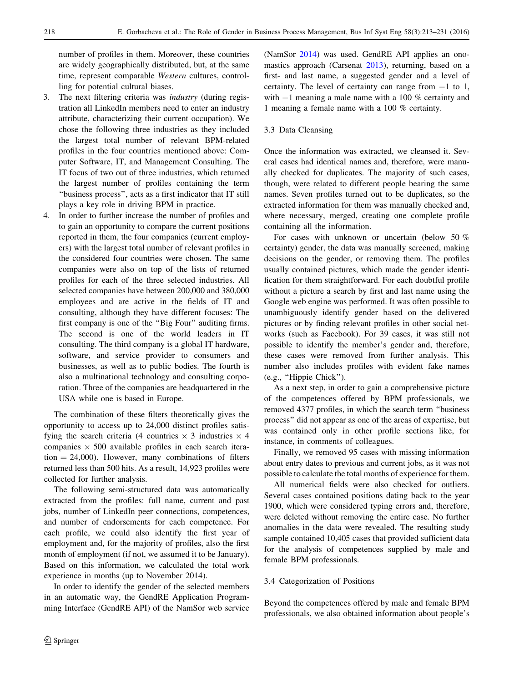number of profiles in them. Moreover, these countries are widely geographically distributed, but, at the same time, represent comparable Western cultures, controlling for potential cultural biases.

- 3. The next filtering criteria was industry (during registration all LinkedIn members need to enter an industry attribute, characterizing their current occupation). We chose the following three industries as they included the largest total number of relevant BPM-related profiles in the four countries mentioned above: Computer Software, IT, and Management Consulting. The IT focus of two out of three industries, which returned the largest number of profiles containing the term ''business process'', acts as a first indicator that IT still plays a key role in driving BPM in practice.
- 4. In order to further increase the number of profiles and to gain an opportunity to compare the current positions reported in them, the four companies (current employers) with the largest total number of relevant profiles in the considered four countries were chosen. The same companies were also on top of the lists of returned profiles for each of the three selected industries. All selected companies have between 200,000 and 380,000 employees and are active in the fields of IT and consulting, although they have different focuses: The first company is one of the ''Big Four'' auditing firms. The second is one of the world leaders in IT consulting. The third company is a global IT hardware, software, and service provider to consumers and businesses, as well as to public bodies. The fourth is also a multinational technology and consulting corporation. Three of the companies are headquartered in the USA while one is based in Europe.

The combination of these filters theoretically gives the opportunity to access up to 24,000 distinct profiles satisfying the search criteria (4 countries  $\times$  3 industries  $\times$  4 companies  $\times$  500 available profiles in each search itera $tion = 24,000$ . However, many combinations of filters returned less than 500 hits. As a result, 14,923 profiles were collected for further analysis.

The following semi-structured data was automatically extracted from the profiles: full name, current and past jobs, number of LinkedIn peer connections, competences, and number of endorsements for each competence. For each profile, we could also identify the first year of employment and, for the majority of profiles, also the first month of employment (if not, we assumed it to be January). Based on this information, we calculated the total work experience in months (up to November 2014).

In order to identify the gender of the selected members in an automatic way, the GendRE Application Programming Interface (GendRE API) of the NamSor web service

# 3.3 Data Cleansing

Once the information was extracted, we cleansed it. Several cases had identical names and, therefore, were manually checked for duplicates. The majority of such cases, though, were related to different people bearing the same names. Seven profiles turned out to be duplicates, so the extracted information for them was manually checked and, where necessary, merged, creating one complete profile containing all the information.

For cases with unknown or uncertain (below 50 % certainty) gender, the data was manually screened, making decisions on the gender, or removing them. The profiles usually contained pictures, which made the gender identification for them straightforward. For each doubtful profile without a picture a search by first and last name using the Google web engine was performed. It was often possible to unambiguously identify gender based on the delivered pictures or by finding relevant profiles in other social networks (such as Facebook). For 39 cases, it was still not possible to identify the member's gender and, therefore, these cases were removed from further analysis. This number also includes profiles with evident fake names (e.g., ''Hippie Chick'').

As a next step, in order to gain a comprehensive picture of the competences offered by BPM professionals, we removed 4377 profiles, in which the search term ''business process'' did not appear as one of the areas of expertise, but was contained only in other profile sections like, for instance, in comments of colleagues.

Finally, we removed 95 cases with missing information about entry dates to previous and current jobs, as it was not possible to calculate the total months of experience for them.

All numerical fields were also checked for outliers. Several cases contained positions dating back to the year 1900, which were considered typing errors and, therefore, were deleted without removing the entire case. No further anomalies in the data were revealed. The resulting study sample contained 10,405 cases that provided sufficient data for the analysis of competences supplied by male and female BPM professionals.

# 3.4 Categorization of Positions

Beyond the competences offered by male and female BPM professionals, we also obtained information about people's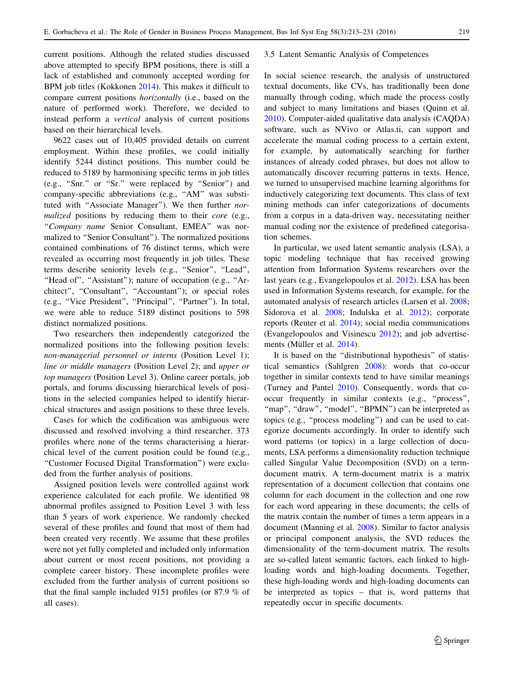current positions. Although the related studies discussed above attempted to specify BPM positions, there is still a lack of established and commonly accepted wording for BPM job titles (Kokkonen [2014\)](#page-17-0). This makes it difficult to compare current positions horizontally (i.e., based on the nature of performed work). Therefore, we decided to instead perform a vertical analysis of current positions based on their hierarchical levels.

9622 cases out of 10,405 provided details on current employment. Within these profiles, we could initially identify 5244 distinct positions. This number could be reduced to 5189 by harmonising specific terms in job titles (e.g., ''Snr.'' or ''Sr.'' were replaced by ''Senior'') and company-specific abbreviations (e.g., ''AM'' was substituted with "Associate Manager"). We then further normalized positions by reducing them to their core (e.g., "Company name Senior Consultant, EMEA" was normalized to ''Senior Consultant''). The normalized positions contained combinations of 76 distinct terms, which were revealed as occurring most frequently in job titles. These terms describe seniority levels (e.g., ''Senior'', ''Lead'', "Head of", "Assistant"); nature of occupation (e.g., "Architect", "Consultant", "Accountant"); or special roles (e.g., ''Vice President'', ''Principal'', ''Partner''). In total, we were able to reduce 5189 distinct positions to 598 distinct normalized positions.

Two researchers then independently categorized the normalized positions into the following position levels: non-managerial personnel or interns (Position Level 1); line or middle managers (Position Level 2); and upper or top managers (Position Level 3). Online career portals, job portals, and forums discussing hierarchical levels of positions in the selected companies helped to identify hierarchical structures and assign positions to these three levels.

Cases for which the codification was ambiguous were discussed and resolved involving a third researcher. 373 profiles where none of the terms characterising a hierarchical level of the current position could be found (e.g., ''Customer Focused Digital Transformation'') were excluded from the further analysis of positions.

Assigned position levels were controlled against work experience calculated for each profile. We identified 98 abnormal profiles assigned to Position Level 3 with less than 5 years of work experience. We randomly checked several of these profiles and found that most of them had been created very recently. We assume that these profiles were not yet fully completed and included only information about current or most recent positions, not providing a complete career history. These incomplete profiles were excluded from the further analysis of current positions so that the final sample included 9151 profiles (or 87.9 % of all cases).

#### 3.5 Latent Semantic Analysis of Competences

In social science research, the analysis of unstructured textual documents, like CVs, has traditionally been done manually through coding, which made the process costly and subject to many limitations and biases (Quinn et al. [2010](#page-17-0)). Computer-aided qualitative data analysis (CAQDA) software, such as NVivo or Atlas.ti, can support and accelerate the manual coding process to a certain extent, for example, by automatically searching for further instances of already coded phrases, but does not allow to automatically discover recurring patterns in texts. Hence, we turned to unsupervised machine learning algorithms for inductively categorizing text documents. This class of text mining methods can infer categorizations of documents from a corpus in a data-driven way, necessitating neither manual coding nor the existence of predefined categorisation schemes.

In particular, we used latent semantic analysis (LSA), a topic modeling technique that has received growing attention from Information Systems researchers over the last years (e.g., Evangelopoulos et al. [2012](#page-17-0)). LSA has been used in Information Systems research, for example, for the automated analysis of research articles (Larsen et al. [2008](#page-17-0); Sidorova et al. [2008;](#page-18-0) Indulska et al. [2012](#page-17-0)); corporate reports (Reuter et al. [2014](#page-17-0)); social media communications (Evangelopoulos and Visinescu [2012\)](#page-17-0); and job advertise-ments (Müller et al. [2014\)](#page-17-0).

It is based on the ''distributional hypothesis'' of statistical semantics (Sahlgren [2008\)](#page-18-0): words that co-occur together in similar contexts tend to have similar meanings (Turney and Pantel [2010](#page-18-0)). Consequently, words that cooccur frequently in similar contexts (e.g., ''process'', "map", "draw", "model", "BPMN") can be interpreted as topics (e.g., ''process modeling'') and can be used to categorize documents accordingly. In order to identify such word patterns (or topics) in a large collection of documents, LSA performs a dimensionality reduction technique called Singular Value Decomposition (SVD) on a termdocument matrix. A term-document matrix is a matrix representation of a document collection that contains one column for each document in the collection and one row for each word appearing in these documents; the cells of the matrix contain the number of times a term appears in a document (Manning et al. [2008\)](#page-17-0). Similar to factor analysis or principal component analysis, the SVD reduces the dimensionality of the term-document matrix. The results are so-called latent semantic factors, each linked to highloading words and high-loading documents. Together, these high-loading words and high-loading documents can be interpreted as topics – that is, word patterns that repeatedly occur in specific documents.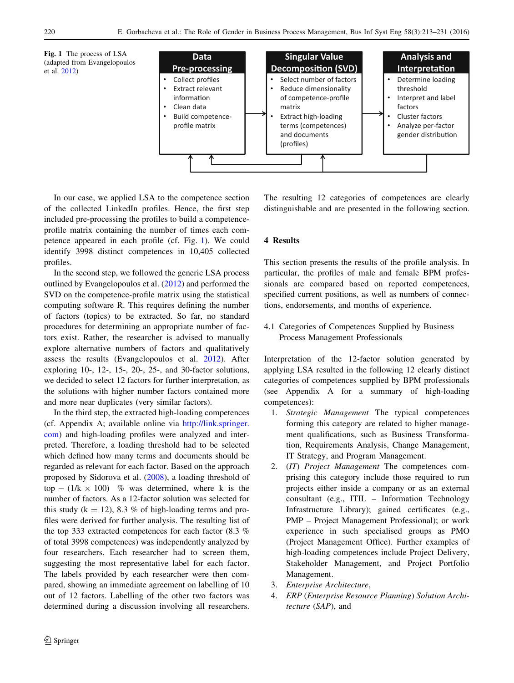<span id="page-7-0"></span>Fig. 1 The process of LSA (adapted from Evangelopoulos et al. [2012](#page-17-0))



In our case, we applied LSA to the competence section of the collected LinkedIn profiles. Hence, the first step included pre-processing the profiles to build a competenceprofile matrix containing the number of times each competence appeared in each profile (cf. Fig. 1). We could identify 3998 distinct competences in 10,405 collected profiles.

In the second step, we followed the generic LSA process outlined by Evangelopoulos et al. [\(2012](#page-17-0)) and performed the SVD on the competence-profile matrix using the statistical computing software R. This requires defining the number of factors (topics) to be extracted. So far, no standard procedures for determining an appropriate number of factors exist. Rather, the researcher is advised to manually explore alternative numbers of factors and qualitatively assess the results (Evangelopoulos et al. [2012\)](#page-17-0). After exploring 10-, 12-, 15-, 20-, 25-, and 30-factor solutions, we decided to select 12 factors for further interpretation, as the solutions with higher number factors contained more and more near duplicates (very similar factors).

In the third step, the extracted high-loading competences (cf. Appendix A; available online via [http://link.springer.](http://link.springer.com) [com](http://link.springer.com)) and high-loading profiles were analyzed and interpreted. Therefore, a loading threshold had to be selected which defined how many terms and documents should be regarded as relevant for each factor. Based on the approach proposed by Sidorova et al. [\(2008](#page-18-0)), a loading threshold of top  $- (1/k \times 100)$  % was determined, where k is the number of factors. As a 12-factor solution was selected for this study ( $k = 12$ ), 8.3 % of high-loading terms and profiles were derived for further analysis. The resulting list of the top 333 extracted competences for each factor (8.3 % of total 3998 competences) was independently analyzed by four researchers. Each researcher had to screen them, suggesting the most representative label for each factor. The labels provided by each researcher were then compared, showing an immediate agreement on labelling of 10 out of 12 factors. Labelling of the other two factors was determined during a discussion involving all researchers. The resulting 12 categories of competences are clearly distinguishable and are presented in the following section.

# 4 Results

This section presents the results of the profile analysis. In particular, the profiles of male and female BPM professionals are compared based on reported competences, specified current positions, as well as numbers of connections, endorsements, and months of experience.

4.1 Categories of Competences Supplied by Business Process Management Professionals

Interpretation of the 12-factor solution generated by applying LSA resulted in the following 12 clearly distinct categories of competences supplied by BPM professionals (see Appendix A for a summary of high-loading competences):

- 1. Strategic Management The typical competences forming this category are related to higher management qualifications, such as Business Transformation, Requirements Analysis, Change Management, IT Strategy, and Program Management.
- 2. (IT) Project Management The competences comprising this category include those required to run projects either inside a company or as an external consultant (e.g., ITIL – Information Technology Infrastructure Library); gained certificates (e.g., PMP – Project Management Professional); or work experience in such specialised groups as PMO (Project Management Office). Further examples of high-loading competences include Project Delivery, Stakeholder Management, and Project Portfolio Management.
- 3. Enterprise Architecture,
- 4. ERP (Enterprise Resource Planning) Solution Architecture (SAP), and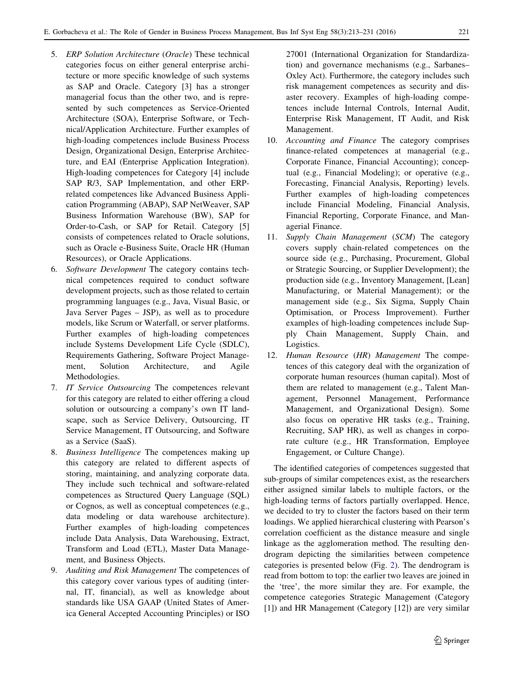- 5. ERP Solution Architecture (Oracle) These technical categories focus on either general enterprise architecture or more specific knowledge of such systems as SAP and Oracle. Category [3] has a stronger managerial focus than the other two, and is represented by such competences as Service-Oriented Architecture (SOA), Enterprise Software, or Technical/Application Architecture. Further examples of high-loading competences include Business Process Design, Organizational Design, Enterprise Architecture, and EAI (Enterprise Application Integration). High-loading competences for Category [4] include SAP R/3, SAP Implementation, and other ERPrelated competences like Advanced Business Application Programming (ABAP), SAP NetWeaver, SAP Business Information Warehouse (BW), SAP for Order-to-Cash, or SAP for Retail. Category [5] consists of competences related to Oracle solutions, such as Oracle e-Business Suite, Oracle HR (Human Resources), or Oracle Applications.
- 6. Software Development The category contains technical competences required to conduct software development projects, such as those related to certain programming languages (e.g., Java, Visual Basic, or Java Server Pages – JSP), as well as to procedure models, like Scrum or Waterfall, or server platforms. Further examples of high-loading competences include Systems Development Life Cycle (SDLC), Requirements Gathering, Software Project Management, Solution Architecture, and Agile Methodologies.
- 7. IT Service Outsourcing The competences relevant for this category are related to either offering a cloud solution or outsourcing a company's own IT landscape, such as Service Delivery, Outsourcing, IT Service Management, IT Outsourcing, and Software as a Service (SaaS).
- 8. Business Intelligence The competences making up this category are related to different aspects of storing, maintaining, and analyzing corporate data. They include such technical and software-related competences as Structured Query Language (SQL) or Cognos, as well as conceptual competences (e.g., data modeling or data warehouse architecture). Further examples of high-loading competences include Data Analysis, Data Warehousing, Extract, Transform and Load (ETL), Master Data Management, and Business Objects.
- 9. Auditing and Risk Management The competences of this category cover various types of auditing (internal, IT, financial), as well as knowledge about standards like USA GAAP (United States of America General Accepted Accounting Principles) or ISO

27001 (International Organization for Standardization) and governance mechanisms (e.g., Sarbanes– Oxley Act). Furthermore, the category includes such risk management competences as security and disaster recovery. Examples of high-loading competences include Internal Controls, Internal Audit, Enterprise Risk Management, IT Audit, and Risk Management.

- 10. Accounting and Finance The category comprises finance-related competences at managerial (e.g., Corporate Finance, Financial Accounting); conceptual (e.g., Financial Modeling); or operative (e.g., Forecasting, Financial Analysis, Reporting) levels. Further examples of high-loading competences include Financial Modeling, Financial Analysis, Financial Reporting, Corporate Finance, and Managerial Finance.
- 11. Supply Chain Management (SCM) The category covers supply chain-related competences on the source side (e.g., Purchasing, Procurement, Global or Strategic Sourcing, or Supplier Development); the production side (e.g., Inventory Management, [Lean] Manufacturing, or Material Management); or the management side (e.g., Six Sigma, Supply Chain Optimisation, or Process Improvement). Further examples of high-loading competences include Supply Chain Management, Supply Chain, and Logistics.
- 12. Human Resource (HR) Management The competences of this category deal with the organization of corporate human resources (human capital). Most of them are related to management (e.g., Talent Management, Personnel Management, Performance Management, and Organizational Design). Some also focus on operative HR tasks (e.g., Training, Recruiting, SAP HR), as well as changes in corporate culture (e.g., HR Transformation, Employee Engagement, or Culture Change).

The identified categories of competences suggested that sub-groups of similar competences exist, as the researchers either assigned similar labels to multiple factors, or the high-loading terms of factors partially overlapped. Hence, we decided to try to cluster the factors based on their term loadings. We applied hierarchical clustering with Pearson's correlation coefficient as the distance measure and single linkage as the agglomeration method. The resulting dendrogram depicting the similarities between competence categories is presented below (Fig. [2](#page-9-0)). The dendrogram is read from bottom to top: the earlier two leaves are joined in the 'tree', the more similar they are. For example, the competence categories Strategic Management (Category [1]) and HR Management (Category [12]) are very similar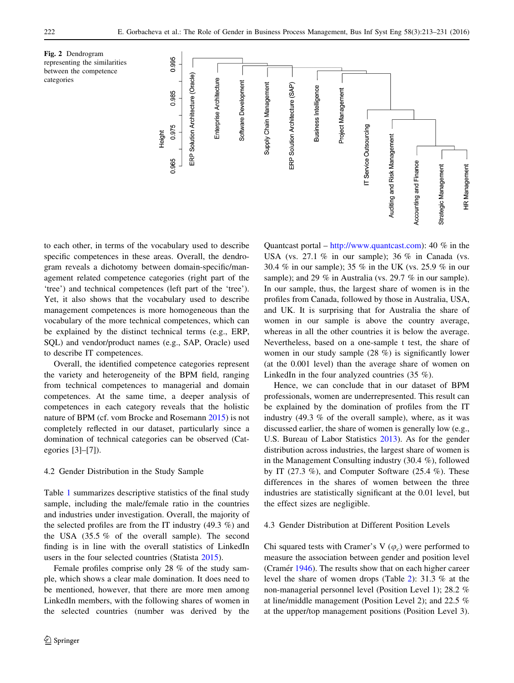<span id="page-9-0"></span>Fig. 2 Dendrogram representing the similarities between the competence categories



to each other, in terms of the vocabulary used to describe specific competences in these areas. Overall, the dendrogram reveals a dichotomy between domain-specific/management related competence categories (right part of the 'tree') and technical competences (left part of the 'tree'). Yet, it also shows that the vocabulary used to describe management competences is more homogeneous than the vocabulary of the more technical competences, which can be explained by the distinct technical terms (e.g., ERP, SQL) and vendor/product names (e.g., SAP, Oracle) used to describe IT competences.

Overall, the identified competence categories represent the variety and heterogeneity of the BPM field, ranging from technical competences to managerial and domain competences. At the same time, a deeper analysis of competences in each category reveals that the holistic nature of BPM (cf. vom Brocke and Rosemann [2015\)](#page-18-0) is not completely reflected in our dataset, particularly since a domination of technical categories can be observed (Categories [3]–[7]).

# 4.2 Gender Distribution in the Study Sample

Table [1](#page-10-0) summarizes descriptive statistics of the final study sample, including the male/female ratio in the countries and industries under investigation. Overall, the majority of the selected profiles are from the IT industry (49.3 %) and the USA (35.5 % of the overall sample). The second finding is in line with the overall statistics of LinkedIn users in the four selected countries (Statista [2015](#page-18-0)).

Female profiles comprise only 28 % of the study sample, which shows a clear male domination. It does need to be mentioned, however, that there are more men among LinkedIn members, with the following shares of women in the selected countries (number was derived by the Quantcast portal – <http://www.quantcast.com>): 40 % in the USA (vs.  $27.1\%$  in our sample); 36 % in Canada (vs. 30.4 % in our sample); 35 % in the UK (vs. 25.9 % in our sample); and 29 % in Australia (vs. 29.7 % in our sample). In our sample, thus, the largest share of women is in the profiles from Canada, followed by those in Australia, USA, and UK. It is surprising that for Australia the share of women in our sample is above the country average, whereas in all the other countries it is below the average. Nevertheless, based on a one-sample t test, the share of women in our study sample (28 %) is significantly lower (at the 0.001 level) than the average share of women on LinkedIn in the four analyzed countries (35 %).

Hence, we can conclude that in our dataset of BPM professionals, women are underrepresented. This result can be explained by the domination of profiles from the IT industry (49.3 % of the overall sample), where, as it was discussed earlier, the share of women is generally low (e.g., U.S. Bureau of Labor Statistics [2013\)](#page-18-0). As for the gender distribution across industries, the largest share of women is in the Management Consulting industry (30.4 %), followed by IT (27.3 %), and Computer Software (25.4 %). These differences in the shares of women between the three industries are statistically significant at the 0.01 level, but the effect sizes are negligible.

#### 4.3 Gender Distribution at Different Position Levels

Chi squared tests with Cramer's V  $(\varphi_c)$  were performed to measure the association between gender and position level (Crame $\epsilon$  [1946\)](#page-16-0). The results show that on each higher career level the share of women drops (Table [2](#page-10-0)): 31.3 % at the non-managerial personnel level (Position Level 1); 28.2 % at line/middle management (Position Level 2); and 22.5 % at the upper/top management positions (Position Level 3).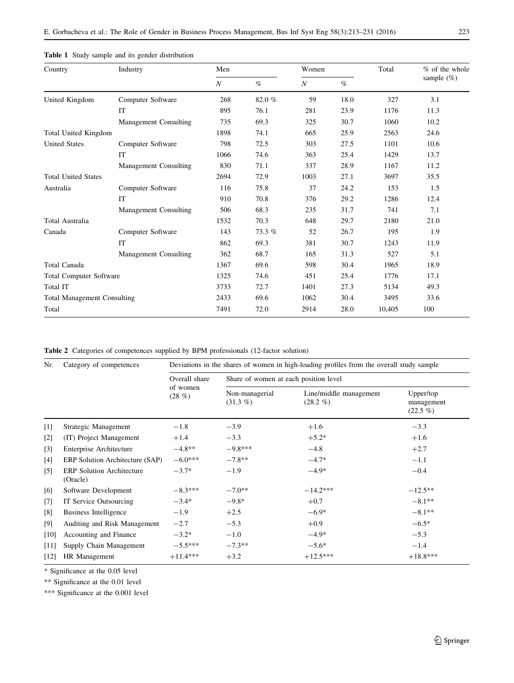| Country                            | Industry              | Men              |        | Women            |      | Total  | $%$ of the whole |
|------------------------------------|-----------------------|------------------|--------|------------------|------|--------|------------------|
|                                    |                       | $\boldsymbol{N}$ | $\%$   | $\boldsymbol{N}$ | $\%$ |        | sample $(\%)$    |
| United Kingdom                     | Computer Software     | 268              | 82.0%  | 59               | 18.0 | 327    | 3.1              |
|                                    | <b>IT</b>             | 895              | 76.1   | 281              | 23.9 | 1176   | 11.3             |
|                                    | Management Consulting | 735              | 69.3   | 325              | 30.7 | 1060   | 10.2             |
| Total United Kingdom               |                       | 1898             | 74.1   | 665              | 25.9 | 2563   | 24.6             |
| <b>United States</b>               | Computer Software     | 798              | 72.5   | 303              | 27.5 | 1101   | 10.6             |
|                                    | IT                    | 1066             | 74.6   | 363              | 25.4 | 1429   | 13.7             |
|                                    | Management Consulting | 830              | 71.1   | 337              | 28.9 | 1167   | 11.2             |
| <b>Total United States</b>         |                       | 2694             | 72.9   | 1003             | 27.1 | 3697   | 35.5             |
| Australia                          | Computer Software     | 116              | 75.8   | 37               | 24.2 | 153    | 1.5              |
|                                    | <b>IT</b>             | 910              | 70.8   | 376              | 29.2 | 1286   | 12.4             |
|                                    | Management Consulting | 506              | 68.3   | 235              | 31.7 | 741    | 7.1              |
| Total Australia                    |                       | 1532             | 70.3   | 648              | 29.7 | 2180   | 21.0             |
| Canada                             | Computer Software     | 143              | 73.3 % | 52               | 26.7 | 195    | 1.9              |
|                                    | IT                    | 862              | 69.3   | 381              | 30.7 | 1243   | 11.9             |
|                                    | Management Consulting | 362              | 68.7   | 165              | 31.3 | 527    | 5.1              |
| <b>Total Canada</b>                |                       | 1367             | 69.6   | 598              | 30.4 | 1965   | 18.9             |
| <b>Total Computer Software</b>     |                       | 1325             | 74.6   | 451              | 25.4 | 1776   | 17.1             |
| Total IT                           |                       | 3733             | 72.7   | 1401             | 27.3 | 5134   | 49.3             |
| <b>Total Management Consulting</b> |                       | 2433             | 69.6   | 1062             | 30.4 | 3495   | 33.6             |
| Total                              |                       | 7491             | 72.0   | 2914             | 28.0 | 10,405 | 100              |

# <span id="page-10-0"></span>Table 1 Study sample and its gender distribution

Table 2 Categories of competences supplied by BPM professionals (12-factor solution)

| Nr.               | Category of competences                      | Deviations in the shares of women in high-loading profiles from the overall study sample |                                       |                                      |                                        |  |  |
|-------------------|----------------------------------------------|------------------------------------------------------------------------------------------|---------------------------------------|--------------------------------------|----------------------------------------|--|--|
|                   |                                              | Overall share                                                                            | Share of women at each position level |                                      |                                        |  |  |
|                   |                                              | of women<br>(28, %)                                                                      | Non-managerial<br>$(31.3\%)$          | Line/middle management<br>$(28.2\%)$ | Upper/top<br>management<br>$(22.5\% )$ |  |  |
| [1]               | Strategic Management                         | $-1.8$                                                                                   | $-3.9$                                | $+1.6$                               | $-3.3$                                 |  |  |
| $[2]$             | (IT) Project Management                      | $+1.4$                                                                                   | $-3.3$                                | $+5.2*$                              | $+1.6$                                 |  |  |
| $[3]$             | Enterprise Architecture                      | $-4.8**$                                                                                 | $-9.8***$                             | $-4.8$                               | $+2.7$                                 |  |  |
| $[4]$             | <b>ERP</b> Solution Architecture (SAP)       | $-6.0***$                                                                                | $-7.8**$                              | $-4.7*$                              | $-1.1$                                 |  |  |
| $\lceil 5 \rceil$ | <b>ERP</b> Solution Architecture<br>(Oracle) | $-3.7*$                                                                                  | $-1.9$                                | $-4.9*$                              | $-0.4$                                 |  |  |
| [6]               | Software Development                         | $-8.3***$                                                                                | $-7.0**$                              | $-14.2***$                           | $-12.5**$                              |  |  |
| $\lceil 7 \rceil$ | IT Service Outsourcing                       | $-3.4*$                                                                                  | $-9.8*$                               | $+0.7$                               | $-8.1**$                               |  |  |
| [8]               | Business Intelligence                        | $-1.9$                                                                                   | $+2.5$                                | $-6.9*$                              | $-8.1**$                               |  |  |
| [9]               | Auditing and Risk Management                 | $-2.7$                                                                                   | $-5.3$                                | $+0.9$                               | $-6.5*$                                |  |  |
| [10]              | Accounting and Finance                       | $-3.2*$                                                                                  | $-1.0$                                | $-4.9*$                              | $-5.3$                                 |  |  |
| [11]              | Supply Chain Management                      | $-5.5***$                                                                                | $-7.3**$                              | $-5.6*$                              | $-1.4$                                 |  |  |
| [12]              | HR Management                                | $+11.4***$                                                                               | $+3.2$                                | $+12.5***$                           | $+18.8***$                             |  |  |

\* Significance at the 0.05 level

\*\* Significance at the 0.01 level

\*\*\* Significance at the 0.001 level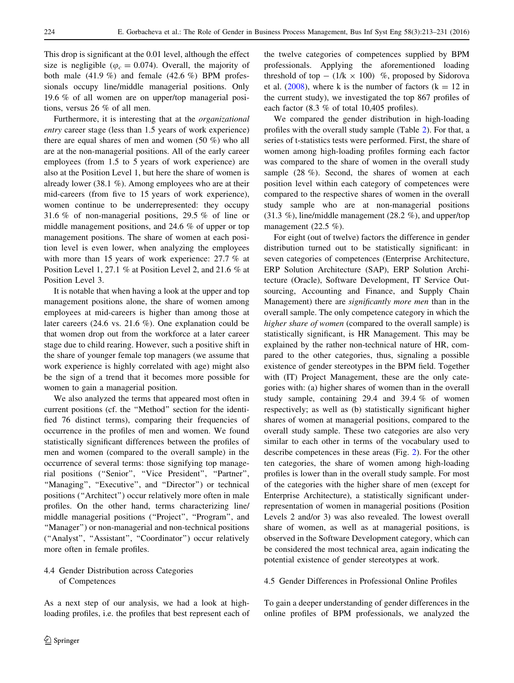This drop is significant at the 0.01 level, although the effect size is negligible ( $\varphi_c = 0.074$ ). Overall, the majority of both male  $(41.9\%)$  and female  $(42.6\%)$  BPM professionals occupy line/middle managerial positions. Only 19.6 % of all women are on upper/top managerial positions, versus 26 % of all men.

Furthermore, it is interesting that at the organizational entry career stage (less than 1.5 years of work experience) there are equal shares of men and women (50 %) who all are at the non-managerial positions. All of the early career employees (from 1.5 to 5 years of work experience) are also at the Position Level 1, but here the share of women is already lower (38.1 %). Among employees who are at their mid-careers (from five to 15 years of work experience), women continue to be underrepresented: they occupy 31.6 % of non-managerial positions, 29.5 % of line or middle management positions, and 24.6 % of upper or top management positions. The share of women at each position level is even lower, when analyzing the employees with more than 15 years of work experience: 27.7 % at Position Level 1, 27.1 % at Position Level 2, and 21.6 % at Position Level 3.

It is notable that when having a look at the upper and top management positions alone, the share of women among employees at mid-careers is higher than among those at later careers (24.6 vs. 21.6 %). One explanation could be that women drop out from the workforce at a later career stage due to child rearing. However, such a positive shift in the share of younger female top managers (we assume that work experience is highly correlated with age) might also be the sign of a trend that it becomes more possible for women to gain a managerial position.

We also analyzed the terms that appeared most often in current positions (cf. the ''Method'' section for the identified 76 distinct terms), comparing their frequencies of occurrence in the profiles of men and women. We found statistically significant differences between the profiles of men and women (compared to the overall sample) in the occurrence of several terms: those signifying top managerial positions (''Senior'', ''Vice President'', ''Partner'', "Managing", "Executive", and "Director") or technical positions (''Architect'') occur relatively more often in male profiles. On the other hand, terms characterizing line/ middle managerial positions (''Project'', ''Program'', and ''Manager'') or non-managerial and non-technical positions (''Analyst'', ''Assistant'', ''Coordinator'') occur relatively more often in female profiles.

# 4.4 Gender Distribution across Categories of Competences

As a next step of our analysis, we had a look at highloading profiles, i.e. the profiles that best represent each of the twelve categories of competences supplied by BPM professionals. Applying the aforementioned loading threshold of top  $- (1/k \times 100)$  %, proposed by Sidorova et al.  $(2008)$  $(2008)$ , where k is the number of factors  $(k = 12$  in the current study), we investigated the top 867 profiles of each factor (8.3 % of total 10,405 profiles).

We compared the gender distribution in high-loading profiles with the overall study sample (Table [2\)](#page-10-0). For that, a series of t-statistics tests were performed. First, the share of women among high-loading profiles forming each factor was compared to the share of women in the overall study sample (28 %). Second, the shares of women at each position level within each category of competences were compared to the respective shares of women in the overall study sample who are at non-managerial positions (31.3 %), line/middle management (28.2 %), and upper/top management (22.5 %).

For eight (out of twelve) factors the difference in gender distribution turned out to be statistically significant: in seven categories of competences (Enterprise Architecture, ERP Solution Architecture (SAP), ERP Solution Architecture (Oracle), Software Development, IT Service Outsourcing, Accounting and Finance, and Supply Chain Management) there are significantly more men than in the overall sample. The only competence category in which the higher share of women (compared to the overall sample) is statistically significant, is HR Management. This may be explained by the rather non-technical nature of HR, compared to the other categories, thus, signaling a possible existence of gender stereotypes in the BPM field. Together with (IT) Project Management, these are the only categories with: (a) higher shares of women than in the overall study sample, containing 29.4 and 39.4 % of women respectively; as well as (b) statistically significant higher shares of women at managerial positions, compared to the overall study sample. These two categories are also very similar to each other in terms of the vocabulary used to describe competences in these areas (Fig. [2\)](#page-9-0). For the other ten categories, the share of women among high-loading profiles is lower than in the overall study sample. For most of the categories with the higher share of men (except for Enterprise Architecture), a statistically significant underrepresentation of women in managerial positions (Position Levels 2 and/or 3) was also revealed. The lowest overall share of women, as well as at managerial positions, is observed in the Software Development category, which can be considered the most technical area, again indicating the potential existence of gender stereotypes at work.

#### 4.5 Gender Differences in Professional Online Profiles

To gain a deeper understanding of gender differences in the online profiles of BPM professionals, we analyzed the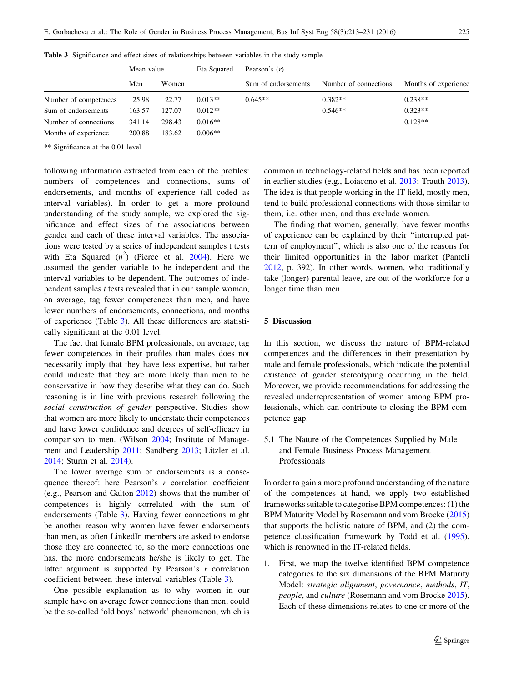|                       | Mean value |        | Eta Squared | Pearson's $(r)$     |                       |                      |  |  |
|-----------------------|------------|--------|-------------|---------------------|-----------------------|----------------------|--|--|
|                       | Men        | Women  |             | Sum of endorsements | Number of connections | Months of experience |  |  |
| Number of competences | 25.98      | 22.77  | $0.013**$   | $0.645**$           | $0.382**$             | $0.238**$            |  |  |
| Sum of endorsements   | 163.57     | 127.07 | $0.012**$   |                     | $0.546**$             | $0.323**$            |  |  |
| Number of connections | 341.14     | 298.43 | $0.016**$   |                     |                       | $0.128**$            |  |  |
| Months of experience  | 200.88     | 183.62 | $0.006**$   |                     |                       |                      |  |  |

<span id="page-12-0"></span>Table 3 Significance and effect sizes of relationships between variables in the study sample

\*\* Significance at the 0.01 level

following information extracted from each of the profiles: numbers of competences and connections, sums of endorsements, and months of experience (all coded as interval variables). In order to get a more profound understanding of the study sample, we explored the significance and effect sizes of the associations between gender and each of these interval variables. The associations were tested by a series of independent samples t tests with Eta Squared  $(\eta^2)$  (Pierce et al. [2004\)](#page-17-0). Here we assumed the gender variable to be independent and the interval variables to be dependent. The outcomes of independent samples t tests revealed that in our sample women, on average, tag fewer competences than men, and have lower numbers of endorsements, connections, and months of experience (Table 3). All these differences are statistically significant at the 0.01 level.

The fact that female BPM professionals, on average, tag fewer competences in their profiles than males does not necessarily imply that they have less expertise, but rather could indicate that they are more likely than men to be conservative in how they describe what they can do. Such reasoning is in line with previous research following the social construction of gender perspective. Studies show that women are more likely to understate their competences and have lower confidence and degrees of self-efficacy in comparison to men. (Wilson [2004;](#page-18-0) Institute of Management and Leadership [2011;](#page-17-0) Sandberg [2013](#page-18-0); Litzler et al. [2014;](#page-17-0) Sturm et al. [2014\)](#page-18-0).

The lower average sum of endorsements is a consequence thereof: here Pearson's r correlation coefficient (e.g., Pearson and Galton [2012\)](#page-17-0) shows that the number of competences is highly correlated with the sum of endorsements (Table 3). Having fewer connections might be another reason why women have fewer endorsements than men, as often LinkedIn members are asked to endorse those they are connected to, so the more connections one has, the more endorsements he/she is likely to get. The latter argument is supported by Pearson's  $r$  correlation coefficient between these interval variables (Table 3).

One possible explanation as to why women in our sample have on average fewer connections than men, could be the so-called 'old boys' network' phenomenon, which is common in technology-related fields and has been reported in earlier studies (e.g., Loiacono et al. [2013](#page-17-0); Trauth [2013](#page-18-0)). The idea is that people working in the IT field, mostly men, tend to build professional connections with those similar to them, i.e. other men, and thus exclude women.

The finding that women, generally, have fewer months of experience can be explained by their ''interrupted pattern of employment'', which is also one of the reasons for their limited opportunities in the labor market (Panteli [2012](#page-17-0), p. 392). In other words, women, who traditionally take (longer) parental leave, are out of the workforce for a longer time than men.

# 5 Discussion

In this section, we discuss the nature of BPM-related competences and the differences in their presentation by male and female professionals, which indicate the potential existence of gender stereotyping occurring in the field. Moreover, we provide recommendations for addressing the revealed underrepresentation of women among BPM professionals, which can contribute to closing the BPM competence gap.

5.1 The Nature of the Competences Supplied by Male and Female Business Process Management Professionals

In order to gain a more profound understanding of the nature of the competences at hand, we apply two established frameworks suitable to categorise BPM competences: (1) the BPM Maturity Model by Rosemann and vom Brocke ([2015\)](#page-17-0) that supports the holistic nature of BPM, and (2) the competence classification framework by Todd et al. [\(1995](#page-18-0)), which is renowned in the IT-related fields.

1. First, we map the twelve identified BPM competence categories to the six dimensions of the BPM Maturity Model: strategic alignment, governance, methods, IT, people, and culture (Rosemann and vom Brocke [2015](#page-17-0)). Each of these dimensions relates to one or more of the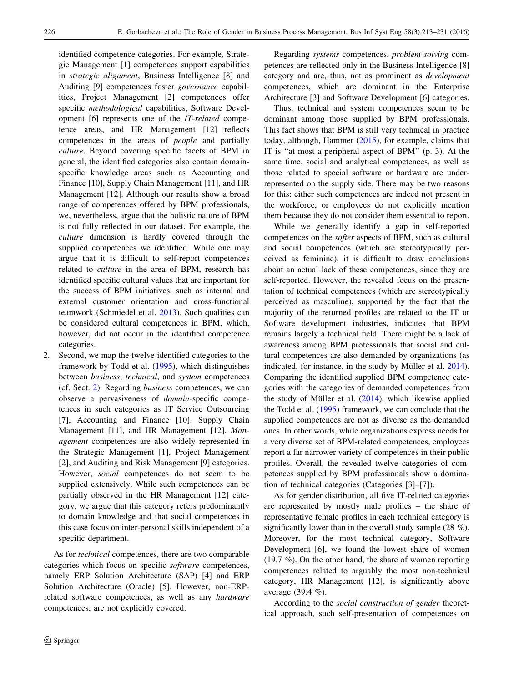identified competence categories. For example, Strategic Management [1] competences support capabilities in strategic alignment, Business Intelligence [8] and Auditing [9] competences foster governance capabilities, Project Management [2] competences offer specific methodological capabilities, Software Development [6] represents one of the IT-related competence areas, and HR Management [12] reflects competences in the areas of people and partially culture. Beyond covering specific facets of BPM in general, the identified categories also contain domainspecific knowledge areas such as Accounting and Finance [10], Supply Chain Management [11], and HR Management [12]. Although our results show a broad range of competences offered by BPM professionals, we, nevertheless, argue that the holistic nature of BPM is not fully reflected in our dataset. For example, the culture dimension is hardly covered through the supplied competences we identified. While one may argue that it is difficult to self-report competences related to culture in the area of BPM, research has identified specific cultural values that are important for the success of BPM initiatives, such as internal and external customer orientation and cross-functional teamwork (Schmiedel et al. [2013\)](#page-18-0). Such qualities can be considered cultural competences in BPM, which, however, did not occur in the identified competence categories.

2. Second, we map the twelve identified categories to the framework by Todd et al. [\(1995](#page-18-0)), which distinguishes between business, technical, and system competences (cf. Sect. [2\)](#page-1-0). Regarding business competences, we can observe a pervasiveness of domain-specific competences in such categories as IT Service Outsourcing [7], Accounting and Finance [10], Supply Chain Management [11], and HR Management [12]. Management competences are also widely represented in the Strategic Management [1], Project Management [2], and Auditing and Risk Management [9] categories. However, social competences do not seem to be supplied extensively. While such competences can be partially observed in the HR Management [12] category, we argue that this category refers predominantly to domain knowledge and that social competences in this case focus on inter-personal skills independent of a specific department.

As for technical competences, there are two comparable categories which focus on specific software competences, namely ERP Solution Architecture (SAP) [4] and ERP Solution Architecture (Oracle) [5]. However, non-ERPrelated software competences, as well as any hardware competences, are not explicitly covered.

Thus, technical and system competences seem to be dominant among those supplied by BPM professionals. This fact shows that BPM is still very technical in practice today, although, Hammer [\(2015](#page-17-0)), for example, claims that IT is ''at most a peripheral aspect of BPM'' (p. 3). At the same time, social and analytical competences, as well as those related to special software or hardware are underrepresented on the supply side. There may be two reasons for this: either such competences are indeed not present in the workforce, or employees do not explicitly mention them because they do not consider them essential to report.

While we generally identify a gap in self-reported competences on the softer aspects of BPM, such as cultural and social competences (which are stereotypically perceived as feminine), it is difficult to draw conclusions about an actual lack of these competences, since they are self-reported. However, the revealed focus on the presentation of technical competences (which are stereotypically perceived as masculine), supported by the fact that the majority of the returned profiles are related to the IT or Software development industries, indicates that BPM remains largely a technical field. There might be a lack of awareness among BPM professionals that social and cultural competences are also demanded by organizations (as indicated, for instance, in the study by Müller et al.  $2014$ ). Comparing the identified supplied BPM competence categories with the categories of demanded competences from the study of Müller et al.  $(2014)$  $(2014)$ , which likewise applied the Todd et al. [\(1995](#page-18-0)) framework, we can conclude that the supplied competences are not as diverse as the demanded ones. In other words, while organizations express needs for a very diverse set of BPM-related competences, employees report a far narrower variety of competences in their public profiles. Overall, the revealed twelve categories of competences supplied by BPM professionals show a domination of technical categories (Categories [3]–[7]).

As for gender distribution, all five IT-related categories are represented by mostly male profiles – the share of representative female profiles in each technical category is significantly lower than in the overall study sample (28 %). Moreover, for the most technical category, Software Development [6], we found the lowest share of women (19.7 %). On the other hand, the share of women reporting competences related to arguably the most non-technical category, HR Management [12], is significantly above average (39.4 %).

According to the social construction of gender theoretical approach, such self-presentation of competences on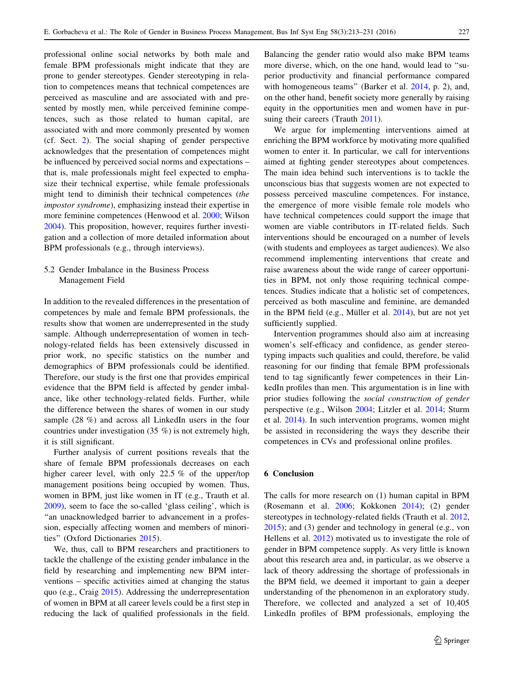<span id="page-14-0"></span>professional online social networks by both male and female BPM professionals might indicate that they are prone to gender stereotypes. Gender stereotyping in relation to competences means that technical competences are perceived as masculine and are associated with and presented by mostly men, while perceived feminine competences, such as those related to human capital, are associated with and more commonly presented by women (cf. Sect. [2](#page-1-0)). The social shaping of gender perspective acknowledges that the presentation of competences might be influenced by perceived social norms and expectations – that is, male professionals might feel expected to emphasize their technical expertise, while female professionals might tend to diminish their technical competences (the impostor syndrome), emphasizing instead their expertise in more feminine competences (Henwood et al. [2000;](#page-17-0) Wilson [2004\)](#page-18-0). This proposition, however, requires further investigation and a collection of more detailed information about BPM professionals (e.g., through interviews).

# 5.2 Gender Imbalance in the Business Process Management Field

In addition to the revealed differences in the presentation of competences by male and female BPM professionals, the results show that women are underrepresented in the study sample. Although underrepresentation of women in technology-related fields has been extensively discussed in prior work, no specific statistics on the number and demographics of BPM professionals could be identified. Therefore, our study is the first one that provides empirical evidence that the BPM field is affected by gender imbalance, like other technology-related fields. Further, while the difference between the shares of women in our study sample (28 %) and across all LinkedIn users in the four countries under investigation (35 %) is not extremely high, it is still significant.

Further analysis of current positions reveals that the share of female BPM professionals decreases on each higher career level, with only 22.5 % of the upper/top management positions being occupied by women. Thus, women in BPM, just like women in IT (e.g., Trauth et al. [2009\)](#page-18-0), seem to face the so-called 'glass ceiling', which is ''an unacknowledged barrier to advancement in a profession, especially affecting women and members of minorities'' (Oxford Dictionaries [2015](#page-17-0)).

We, thus, call to BPM researchers and practitioners to tackle the challenge of the existing gender imbalance in the field by researching and implementing new BPM interventions – specific activities aimed at changing the status quo (e.g., Craig [2015](#page-16-0)). Addressing the underrepresentation of women in BPM at all career levels could be a first step in reducing the lack of qualified professionals in the field. Balancing the gender ratio would also make BPM teams more diverse, which, on the one hand, would lead to ''superior productivity and financial performance compared with homogeneous teams'' (Barker et al. [2014](#page-16-0), p. 2), and, on the other hand, benefit society more generally by raising equity in the opportunities men and women have in pur-suing their careers (Trauth [2011\)](#page-18-0).

We argue for implementing interventions aimed at enriching the BPM workforce by motivating more qualified women to enter it. In particular, we call for interventions aimed at fighting gender stereotypes about competences. The main idea behind such interventions is to tackle the unconscious bias that suggests women are not expected to possess perceived masculine competences. For instance, the emergence of more visible female role models who have technical competences could support the image that women are viable contributors in IT-related fields. Such interventions should be encouraged on a number of levels (with students and employees as target audiences). We also recommend implementing interventions that create and raise awareness about the wide range of career opportunities in BPM, not only those requiring technical competences. Studies indicate that a holistic set of competences, perceived as both masculine and feminine, are demanded in the BPM field (e.g., Müller et al.  $2014$ ), but are not yet sufficiently supplied.

Intervention programmes should also aim at increasing women's self-efficacy and confidence, as gender stereotyping impacts such qualities and could, therefore, be valid reasoning for our finding that female BPM professionals tend to tag significantly fewer competences in their LinkedIn profiles than men. This argumentation is in line with prior studies following the social construction of gender perspective (e.g., Wilson [2004;](#page-18-0) Litzler et al. [2014](#page-17-0); Sturm et al. [2014\)](#page-18-0). In such intervention programs, women might be assisted in reconsidering the ways they describe their competences in CVs and professional online profiles.

# 6 Conclusion

The calls for more research on (1) human capital in BPM (Rosemann et al. [2006](#page-18-0); Kokkonen [2014](#page-17-0)); (2) gender stereotypes in technology-related fields (Trauth et al. [2012,](#page-18-0) [2015](#page-18-0)); and (3) gender and technology in general (e.g., von Hellens et al. [2012\)](#page-18-0) motivated us to investigate the role of gender in BPM competence supply. As very little is known about this research area and, in particular, as we observe a lack of theory addressing the shortage of professionals in the BPM field, we deemed it important to gain a deeper understanding of the phenomenon in an exploratory study. Therefore, we collected and analyzed a set of 10,405 LinkedIn profiles of BPM professionals, employing the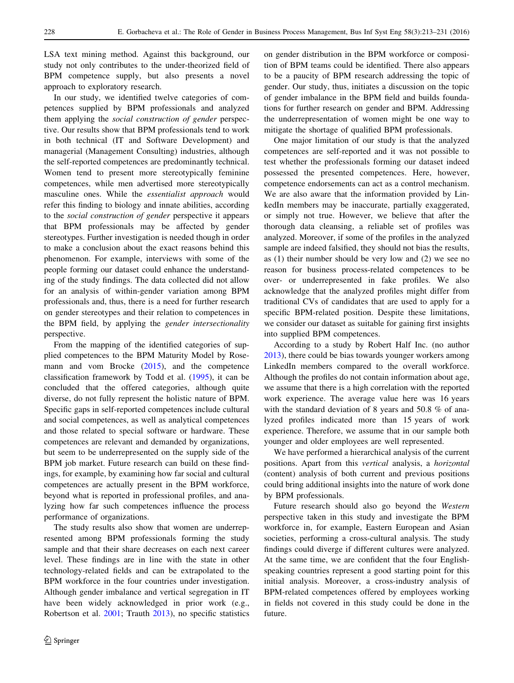LSA text mining method. Against this background, our study not only contributes to the under-theorized field of BPM competence supply, but also presents a novel approach to exploratory research.

In our study, we identified twelve categories of competences supplied by BPM professionals and analyzed them applying the *social construction of gender* perspective. Our results show that BPM professionals tend to work in both technical (IT and Software Development) and managerial (Management Consulting) industries, although the self-reported competences are predominantly technical. Women tend to present more stereotypically feminine competences, while men advertised more stereotypically masculine ones. While the essentialist approach would refer this finding to biology and innate abilities, according to the social construction of gender perspective it appears that BPM professionals may be affected by gender stereotypes. Further investigation is needed though in order to make a conclusion about the exact reasons behind this phenomenon. For example, interviews with some of the people forming our dataset could enhance the understanding of the study findings. The data collected did not allow for an analysis of within-gender variation among BPM professionals and, thus, there is a need for further research on gender stereotypes and their relation to competences in the BPM field, by applying the gender intersectionality perspective.

From the mapping of the identified categories of supplied competences to the BPM Maturity Model by Rosemann and vom Brocke ([2015\)](#page-17-0), and the competence classification framework by Todd et al. [\(1995](#page-18-0)), it can be concluded that the offered categories, although quite diverse, do not fully represent the holistic nature of BPM. Specific gaps in self-reported competences include cultural and social competences, as well as analytical competences and those related to special software or hardware. These competences are relevant and demanded by organizations, but seem to be underrepresented on the supply side of the BPM job market. Future research can build on these findings, for example, by examining how far social and cultural competences are actually present in the BPM workforce, beyond what is reported in professional profiles, and analyzing how far such competences influence the process performance of organizations.

The study results also show that women are underrepresented among BPM professionals forming the study sample and that their share decreases on each next career level. These findings are in line with the state in other technology-related fields and can be extrapolated to the BPM workforce in the four countries under investigation. Although gender imbalance and vertical segregation in IT have been widely acknowledged in prior work (e.g., Robertson et al. [2001](#page-17-0); Trauth [2013](#page-18-0)), no specific statistics on gender distribution in the BPM workforce or composition of BPM teams could be identified. There also appears to be a paucity of BPM research addressing the topic of gender. Our study, thus, initiates a discussion on the topic of gender imbalance in the BPM field and builds foundations for further research on gender and BPM. Addressing the underrepresentation of women might be one way to mitigate the shortage of qualified BPM professionals.

One major limitation of our study is that the analyzed competences are self-reported and it was not possible to test whether the professionals forming our dataset indeed possessed the presented competences. Here, however, competence endorsements can act as a control mechanism. We are also aware that the information provided by LinkedIn members may be inaccurate, partially exaggerated, or simply not true. However, we believe that after the thorough data cleansing, a reliable set of profiles was analyzed. Moreover, if some of the profiles in the analyzed sample are indeed falsified, they should not bias the results, as (1) their number should be very low and (2) we see no reason for business process-related competences to be over- or underrepresented in fake profiles. We also acknowledge that the analyzed profiles might differ from traditional CVs of candidates that are used to apply for a specific BPM-related position. Despite these limitations, we consider our dataset as suitable for gaining first insights into supplied BPM competences.

According to a study by Robert Half Inc. (no author [2013](#page-17-0)), there could be bias towards younger workers among LinkedIn members compared to the overall workforce. Although the profiles do not contain information about age, we assume that there is a high correlation with the reported work experience. The average value here was 16 years with the standard deviation of 8 years and 50.8 % of analyzed profiles indicated more than 15 years of work experience. Therefore, we assume that in our sample both younger and older employees are well represented.

We have performed a hierarchical analysis of the current positions. Apart from this vertical analysis, a horizontal (content) analysis of both current and previous positions could bring additional insights into the nature of work done by BPM professionals.

Future research should also go beyond the Western perspective taken in this study and investigate the BPM workforce in, for example, Eastern European and Asian societies, performing a cross-cultural analysis. The study findings could diverge if different cultures were analyzed. At the same time, we are confident that the four Englishspeaking countries represent a good starting point for this initial analysis. Moreover, a cross-industry analysis of BPM-related competences offered by employees working in fields not covered in this study could be done in the future.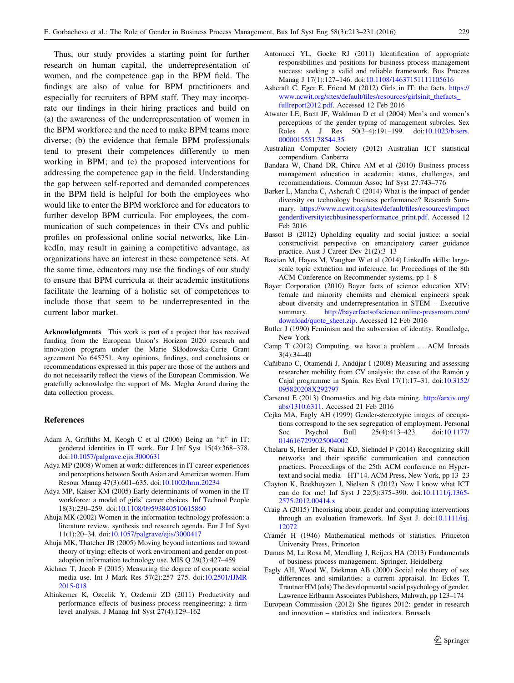<span id="page-16-0"></span>Thus, our study provides a starting point for further research on human capital, the underrepresentation of women, and the competence gap in the BPM field. The findings are also of value for BPM practitioners and especially for recruiters of BPM staff. They may incorporate our findings in their hiring practices and build on (a) the awareness of the underrepresentation of women in the BPM workforce and the need to make BPM teams more diverse; (b) the evidence that female BPM professionals tend to present their competences differently to men working in BPM; and (c) the proposed interventions for

addressing the competence gap in the field. Understanding the gap between self-reported and demanded competences in the BPM field is helpful for both the employees who would like to enter the BPM workforce and for educators to further develop BPM curricula. For employees, the communication of such competences in their CVs and public profiles on professional online social networks, like LinkedIn, may result in gaining a competitive advantage, as organizations have an interest in these competence sets. At the same time, educators may use the findings of our study to ensure that BPM curricula at their academic institutions facilitate the learning of a holistic set of competences to include those that seem to be underrepresented in the current labor market.

Acknowledgments This work is part of a project that has received funding from the European Union's Horizon 2020 research and innovation program under the Marie Skłodowska-Curie Grant agreement No 645751. Any opinions, findings, and conclusions or recommendations expressed in this paper are those of the authors and do not necessarily reflect the views of the European Commission. We gratefully acknowledge the support of Ms. Megha Anand during the data collection process.

#### References

- Adam A, Griffiths M, Keogh C et al (2006) Being an "it" in IT: gendered identities in IT work. Eur J Inf Syst 15(4):368–378. doi[:10.1057/palgrave.ejis.3000631](http://dx.doi.org/10.1057/palgrave.ejis.3000631)
- Adya MP (2008) Women at work: differences in IT career experiences and perceptions between South Asian and American women. Hum Resour Manag 47(3):601–635. doi:[10.1002/hrm.20234](http://dx.doi.org/10.1002/hrm.20234)
- Adya MP, Kaiser KM (2005) Early determinants of women in the IT workforce: a model of girls' career choices. Inf Technol People 18(3):230–259. doi:[10.1108/09593840510615860](http://dx.doi.org/10.1108/09593840510615860)
- Ahuja MK (2002) Women in the information technology profession: a literature review, synthesis and research agenda. Eur J Inf Syst 11(1):20–34. doi[:10.1057/palgrave/ejis/3000417](http://dx.doi.org/10.1057/palgrave/ejis/3000417)
- Ahuja MK, Thatcher JB (2005) Moving beyond intentions and toward theory of trying: effects of work environment and gender on postadoption information technology use. MIS Q 29(3):427–459
- Aichner T, Jacob F (2015) Measuring the degree of corporate social media use. Int J Mark Res 57(2):257–275. doi[:10.2501/IJMR-](http://dx.doi.org/10.2501/IJMR-2015-018)[2015-018](http://dx.doi.org/10.2501/IJMR-2015-018)
- Altinkemer K, Ozcelik Y, Ozdemir ZD (2011) Productivity and performance effects of business process reengineering: a firmlevel analysis. J Manag Inf Syst 27(4):129–162
- Antonucci YL, Goeke RJ (2011) Identification of appropriate responsibilities and positions for business process management success: seeking a valid and reliable framework. Bus Process Manag J 17(1):127–146. doi[:10.1108/14637151111105616](http://dx.doi.org/10.1108/14637151111105616)
- Ashcraft C, Eger E, Friend M (2012) Girls in IT: the facts. [https://](https://www.ncwit.org/sites/default/files/resources/girlsinit_thefacts_fullreport2012.pdf) [www.ncwit.org/sites/default/files/resources/girlsinit\\_thefacts\\_](https://www.ncwit.org/sites/default/files/resources/girlsinit_thefacts_fullreport2012.pdf) [fullreport2012.pdf.](https://www.ncwit.org/sites/default/files/resources/girlsinit_thefacts_fullreport2012.pdf) Accessed 12 Feb 2016
- Atwater LE, Brett JF, Waldman D et al (2004) Men's and women's perceptions of the gender typing of management subroles. Sex Roles A J Res 50(3–4):191–199. doi[:10.1023/b:sers.](http://dx.doi.org/10.1023/b:sers.0000015551.78544.35) [0000015551.78544.35](http://dx.doi.org/10.1023/b:sers.0000015551.78544.35)
- Australian Computer Society (2012) Australian ICT statistical compendium. Canberra
- Bandara W, Chand DR, Chircu AM et al (2010) Business process management education in academia: status, challenges, and recommendations. Commun Assoc Inf Syst 27:743–776
- Barker L, Mancha C, Ashcraft C (2014) What is the impact of gender diversity on technology business performance? Research Summary. [https://www.ncwit.org/sites/default/files/resources/impact](https://www.ncwit.org/sites/default/files/resources/impactgenderdiversitytechbusinessperformance_print.pdf) [genderdiversitytechbusinessperformance\\_print.pdf.](https://www.ncwit.org/sites/default/files/resources/impactgenderdiversitytechbusinessperformance_print.pdf) Accessed 12 Feb 2016
- Bassot B (2012) Upholding equality and social justice: a social constructivist perspective on emancipatory career guidance practice. Aust J Career Dev 21(2):3–13
- Bastian M, Hayes M, Vaughan W et al (2014) LinkedIn skills: largescale topic extraction and inference. In: Proceedings of the 8th ACM Conference on Recommender systems, pp 1–8
- Bayer Corporation (2010) Bayer facts of science education XIV: female and minority chemists and chemical engineers speak about diversity and underrepresentation in STEM – Executive summary. [http://bayerfactsofscience.online-pressroom.com/](http://bayerfactsofscience.online-pressroom.com/download/quote_sheet.zip) [download/quote\\_sheet.zip](http://bayerfactsofscience.online-pressroom.com/download/quote_sheet.zip). Accessed 12 Feb 2016
- Butler J (1990) Feminism and the subversion of identity. Roudledge, New York
- Camp T (2012) Computing, we have a problem…. ACM Inroads 3(4):34–40
- Cañibano C, Otamendi J, Andújar I (2008) Measuring and assessing researcher mobility from CV analysis: the case of the Ramón y Cajal programme in Spain. Res Eval 17(1):17–31. doi[:10.3152/](http://dx.doi.org/10.3152/095820208X292797) [095820208X292797](http://dx.doi.org/10.3152/095820208X292797)
- Carsenat E (2013) Onomastics and big data mining. [http://arxiv.org/](http://arxiv.org/abs/1310.6311) [abs/1310.6311.](http://arxiv.org/abs/1310.6311) Accessed 21 Feb 2016
- Cejka MA, Eagly AH (1999) Gender-stereotypic images of occupations correspond to the sex segregation of employment. Personal Soc Psychol Bull 25(4):413–423. doi[:10.1177/](http://dx.doi.org/10.1177/0146167299025004002) [0146167299025004002](http://dx.doi.org/10.1177/0146167299025004002)
- Chelaru S, Herder E, Naini KD, Siehndel P (2014) Recognizing skill networks and their specific communication and connection practices. Proceedings of the 25th ACM conference on Hypertext and social media – HT'14. ACM Press, New York, pp 13–23
- Clayton K, Beekhuyzen J, Nielsen S (2012) Now I know what ICT can do for me! Inf Syst J 22(5):375–390. doi[:10.1111/j.1365-](http://dx.doi.org/10.1111/j.1365-2575.2012.00414.x) [2575.2012.00414.x](http://dx.doi.org/10.1111/j.1365-2575.2012.00414.x)
- Craig A (2015) Theorising about gender and computing interventions through an evaluation framework. Inf Syst J. doi[:10.1111/isj.](http://dx.doi.org/10.1111/isj.12072) [12072](http://dx.doi.org/10.1111/isj.12072)
- Cramér H (1946) Mathematical methods of statistics. Princeton University Press, Princeton
- Dumas M, La Rosa M, Mendling J, Reijers HA (2013) Fundamentals of business process management. Springer, Heidelberg
- Eagly AH, Wood W, Diekman AB (2000) Social role theory of sex differences and similarities: a current appraisal. In: Eckes T, Trautner HM (eds) The developmental social psychology of gender. Lawrence Erlbaum Associates Publishers, Mahwah, pp 123–174
- European Commission (2012) She figures 2012: gender in research and innovation – statistics and indicators. Brussels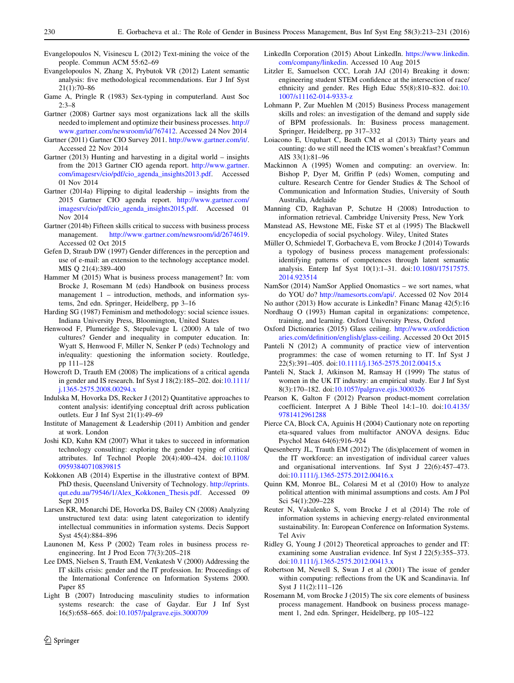- <span id="page-17-0"></span>Evangelopoulos N, Visinescu L (2012) Text-mining the voice of the people. Commun ACM 55:62–69
- Evangelopoulos N, Zhang X, Prybutok VR (2012) Latent semantic analysis: five methodological recommendations. Eur J Inf Syst 21(1):70–86
- Game A, Pringle R (1983) Sex-typing in computerland. Aust Soc  $2:3-8$
- Gartner (2008) Gartner says most organizations lack all the skills needed to implement and optimize their business processes. [http://](http://www.gartner.com/newsroom/id/767412) [www.gartner.com/newsroom/id/767412.](http://www.gartner.com/newsroom/id/767412) Accessed 24 Nov 2014
- Gartner (2011) Gartner CIO Survey 2011. <http://www.gartner.com/it/>. Accessed 22 Nov 2014
- Gartner (2013) Hunting and harvesting in a digital world insights from the 2013 Gartner CIO agenda report. [http://www.gartner.](http://www.gartner.com/imagesrv/cio/pdf/cio_agenda_insights2013.pdf) [com/imagesrv/cio/pdf/cio\\_agenda\\_insights2013.pdf.](http://www.gartner.com/imagesrv/cio/pdf/cio_agenda_insights2013.pdf) Accessed 01 Nov 2014
- Gartner (2014a) Flipping to digital leadership insights from the 2015 Gartner CIO agenda report. [http://www.gartner.com/](http://www.gartner.com/imagesrv/cio/pdf/cio_agenda_insights2015.pdf) [imagesrv/cio/pdf/cio\\_agenda\\_insights2015.pdf.](http://www.gartner.com/imagesrv/cio/pdf/cio_agenda_insights2015.pdf) Accessed 01 Nov 2014
- Gartner (2014b) Fifteen skills critical to success with business process management. <http://www.gartner.com/newsroom/id/2674619>. Accessed 02 Oct 2015
- Gefen D, Straub DW (1997) Gender differences in the perception and use of e-mail: an extension to the technology acceptance model. MIS Q 21(4):389-400
- Hammer M (2015) What is business process management? In: vom Brocke J, Rosemann M (eds) Handbook on business process management 1 – introduction, methods, and information systems, 2nd edn. Springer, Heidelberg, pp 3–16
- Harding SG (1987) Feminism and methodology: social science issues. Indiana University Press, Bloomington, United States
- Henwood F, Plumeridge S, Stepulevage L (2000) A tale of two cultures? Gender and inequality in computer education. In: Wyatt S, Henwood F, Miller N, Senker P (eds) Technology and in/equality: questioning the information society. Routledge, pp 111–128
- Howcroft D, Trauth EM (2008) The implications of a critical agenda in gender and IS research. Inf Syst J 18(2):185–202. doi[:10.1111/](http://dx.doi.org/10.1111/j.1365-2575.2008.00294.x) [j.1365-2575.2008.00294.x](http://dx.doi.org/10.1111/j.1365-2575.2008.00294.x)
- Indulska M, Hovorka DS, Recker J (2012) Quantitative approaches to content analysis: identifying conceptual drift across publication outlets. Eur J Inf Syst 21(1):49–69
- Institute of Management & Leadership (2011) Ambition and gender at work. London
- Joshi KD, Kuhn KM (2007) What it takes to succeed in information technology consulting: exploring the gender typing of critical attributes. Inf Technol People 20(4):400–424. doi[:10.1108/](http://dx.doi.org/10.1108/09593840710839815) [09593840710839815](http://dx.doi.org/10.1108/09593840710839815)
- Kokkonen AB (2014) Expertise in the illustrative context of BPM. PhD thesis, Queensland University of Technology. [http://eprints.](http://eprints.qut.edu.au/79546/1/Alex_Kokkonen_Thesis.pdf) [qut.edu.au/79546/1/Alex\\_Kokkonen\\_Thesis.pdf.](http://eprints.qut.edu.au/79546/1/Alex_Kokkonen_Thesis.pdf) Accessed 09 Sept 2015
- Larsen KR, Monarchi DE, Hovorka DS, Bailey CN (2008) Analyzing unstructured text data: using latent categorization to identify intellectual communities in information systems. Decis Support Syst 45(4):884–896
- Launonen M, Kess P (2002) Team roles in business process reengineering. Int J Prod Econ 77(3):205–218
- Lee DMS, Nielsen S, Trauth EM, Venkatesh V (2000) Addressing the IT skills crisis: gender and the IT profession. In: Proceedings of the International Conference on Information Systems 2000. Paper 85
- Light B (2007) Introducing masculinity studies to information systems research: the case of Gaydar. Eur J Inf Syst 16(5):658–665. doi:[10.1057/palgrave.ejis.3000709](http://dx.doi.org/10.1057/palgrave.ejis.3000709)
- LinkedIn Corporation (2015) About LinkedIn. [https://www.linkedin.](https://www.linkedin.com/company/linkedin) [com/company/linkedin.](https://www.linkedin.com/company/linkedin) Accessed 10 Aug 2015
- Litzler E, Samuelson CCC, Lorah JAJ (2014) Breaking it down: engineering student STEM confidence at the intersection of race/ ethnicity and gender. Res High Educ 55(8):810–832. doi:[10.](http://dx.doi.org/10.1007/s11162-014-9333-z) [1007/s11162-014-9333-z](http://dx.doi.org/10.1007/s11162-014-9333-z)
- Lohmann P, Zur Muehlen M (2015) Business Process management skills and roles: an investigation of the demand and supply side of BPM professionals. In: Business process management. Springer, Heidelberg, pp 317–332
- Loiacono E, Urquhart C, Beath CM et al (2013) Thirty years and counting: do we still need the ICIS women's breakfast? Commun AIS 33(1):81–96
- Mackinnon A (1995) Women and computing: an overview. In: Bishop P, Dyer M, Griffin P (eds) Women, computing and culture. Research Centre for Gender Studies & The School of Communication and Information Studies, University of South Australia, Adelaide
- Manning CD, Raghavan P, Schutze H (2008) Introduction to information retrieval. Cambridge University Press, New York
- Manstead AS, Hewstone ME, Fiske ST et al (1995) The Blackwell encyclopedia of social psychology. Wiley, United States
- Müller O, Schmiedel T, Gorbacheva E, vom Brocke J (2014) Towards a typology of business process management professionals: identifying patterns of competences through latent semantic analysis. Enterp Inf Syst 10(1):1–31. doi[:10.1080/17517575.](http://dx.doi.org/10.1080/17517575.2014.923514) [2014.923514](http://dx.doi.org/10.1080/17517575.2014.923514)
- NamSor (2014) NamSor Applied Onomastics we sort names, what do YOU do? <http://namesorts.com/api/>. Accessed 02 Nov 2014
- No author (2013) How accurate is Linkedln? Financ Manag 42(5):16 Nordhaug O (1993) Human capital in organizations: competence,
- training, and learning. Oxford University Press, Oxford
- Oxford Dictionaries (2015) Glass ceiling. [http://www.oxforddiction](http://www.oxforddictionaries.com/definition/english/glass-ceiling) [aries.com/definition/english/glass-ceiling](http://www.oxforddictionaries.com/definition/english/glass-ceiling). Accessed 20 Oct 2015
- Panteli N (2012) A community of practice view of intervention programmes: the case of women returning to IT. Inf Syst J 22(5):391–405. doi:[10.1111/j.1365-2575.2012.00415.x](http://dx.doi.org/10.1111/j.1365-2575.2012.00415.x)
- Panteli N, Stack J, Atkinson M, Ramsay H (1999) The status of women in the UK IT industry: an empirical study. Eur J Inf Syst 8(3):170–182. doi[:10.1057/palgrave.ejis.3000326](http://dx.doi.org/10.1057/palgrave.ejis.3000326)
- Pearson K, Galton F (2012) Pearson product-moment correlation coefficient. Interpret A J Bible Theol 14:1–10. doi[:10.4135/](http://dx.doi.org/10.4135/9781412961288) [9781412961288](http://dx.doi.org/10.4135/9781412961288)
- Pierce CA, Block CA, Aguinis H (2004) Cautionary note on reporting eta-squared values from multifactor ANOVA designs. Educ Psychol Meas 64(6):916–924
- Quesenberry JL, Trauth EM (2012) The (dis)placement of women in the IT workforce: an investigation of individual career values and organisational interventions. Inf Syst J 22(6):457–473. doi[:10.1111/j.1365-2575.2012.00416.x](http://dx.doi.org/10.1111/j.1365-2575.2012.00416.x)
- Quinn KM, Monroe BL, Colaresi M et al (2010) How to analyze political attention with minimal assumptions and costs. Am J Pol Sci 54(1):209–228
- Reuter N, Vakulenko S, vom Brocke J et al (2014) The role of information systems in achieving energy-related environmental sustainability. In: European Conference on Information Systems. Tel Aviv
- Ridley G, Young J (2012) Theoretical approaches to gender and IT: examining some Australian evidence. Inf Syst J 22(5):355–373. doi[:10.1111/j.1365-2575.2012.00413.x](http://dx.doi.org/10.1111/j.1365-2575.2012.00413.x)
- Robertson M, Newell S, Swan J et al (2001) The issue of gender within computing: reflections from the UK and Scandinavia. Inf Syst J 11(2):111–126
- Rosemann M, vom Brocke J (2015) The six core elements of business process management. Handbook on business process management 1, 2nd edn. Springer, Heidelberg, pp 105–122